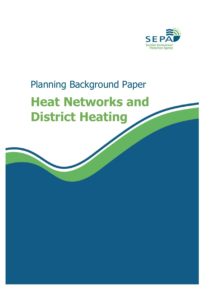

# Planning Background Paper **Heat Networks and District Heating**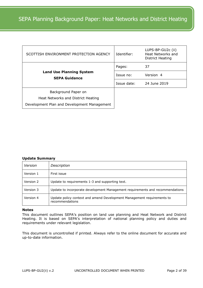| SCOTTISH ENVIRONMENT PROTECTION AGENCY                  | Identifier: | LUPS-BP-GU2c (ii)<br>Heat Networks and<br>District Heating |
|---------------------------------------------------------|-------------|------------------------------------------------------------|
|                                                         | Pages:      | 37                                                         |
| <b>Land Use Planning System</b><br><b>SEPA Guidance</b> | Issue no:   | Version 4                                                  |
|                                                         | Issue date: | 24 June 2019                                               |
| Background Paper on                                     |             |                                                            |
| Heat Networks and District Heating                      |             |                                                            |
| Development Plan and Development Management             |             |                                                            |

# **Update Summary**

| Version   | Description                                                                               |
|-----------|-------------------------------------------------------------------------------------------|
| Version 1 | First issue                                                                               |
| Version 2 | Update to requirements 1-3 and supporting text.                                           |
| Version 3 | Update to incorporate development Management requirements and recommendations             |
| Version 4 | Update policy context and amend Development Management requirements to<br>recommendations |

# **Notes**

This document outlines SEPA's position on land use planning and Heat Network and District Heating. It is based on SEPA's interpretation of national planning policy and duties and requirements under relevant legislation.

This document is uncontrolled if printed. Always refer to the online document for accurate and up-to-date information.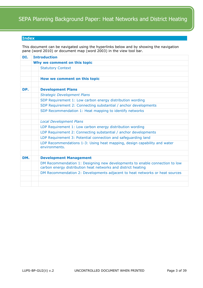# <span id="page-2-0"></span>**Index**

This document can be navigated using the hyperlinks below and by showing the navigation pane (word 2010) or document map (word 2003) in the view tool bar.

| DI. | <b>Introduction</b>                                                                                                                          |  |  |  |  |  |  |
|-----|----------------------------------------------------------------------------------------------------------------------------------------------|--|--|--|--|--|--|
|     | Why we comment on this topic                                                                                                                 |  |  |  |  |  |  |
|     | <b>Statutory Context</b>                                                                                                                     |  |  |  |  |  |  |
|     |                                                                                                                                              |  |  |  |  |  |  |
|     | How we comment on this topic                                                                                                                 |  |  |  |  |  |  |
|     |                                                                                                                                              |  |  |  |  |  |  |
| DP. | <b>Development Plans</b>                                                                                                                     |  |  |  |  |  |  |
|     | <b>Strategic Development Plans</b>                                                                                                           |  |  |  |  |  |  |
|     | SDP Requirement 1: Low carbon energy distribution wording                                                                                    |  |  |  |  |  |  |
|     | SDP Requirement 2: Connecting substantial / anchor developments                                                                              |  |  |  |  |  |  |
|     | SDP Recommendation 1: Heat mapping to identify networks                                                                                      |  |  |  |  |  |  |
|     |                                                                                                                                              |  |  |  |  |  |  |
|     | <b>Local Development Plans</b>                                                                                                               |  |  |  |  |  |  |
|     | LDP Requirement 1: Low carbon energy distribution wording                                                                                    |  |  |  |  |  |  |
|     | LDP Requirement 2: Connecting substantial / anchor developments                                                                              |  |  |  |  |  |  |
|     | LDP Requirement 3: Potential connection and safeguarding land                                                                                |  |  |  |  |  |  |
|     | LDP Recommendations 1-3: Using heat mapping, design capability and water<br>environments.                                                    |  |  |  |  |  |  |
|     |                                                                                                                                              |  |  |  |  |  |  |
| DM. | <b>Development Management</b>                                                                                                                |  |  |  |  |  |  |
|     | DM Recommendation 1: Designing new developments to enable connection to low<br>carbon energy distribution heat networks and district heating |  |  |  |  |  |  |
|     | DM Recommendation 2: Developments adjacent to heat networks or heat sources                                                                  |  |  |  |  |  |  |
|     |                                                                                                                                              |  |  |  |  |  |  |
|     |                                                                                                                                              |  |  |  |  |  |  |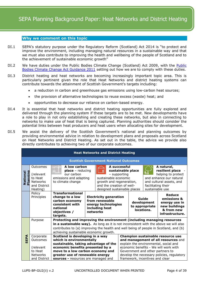# <span id="page-3-0"></span>**Why we comment on this topic**

- DI.1 SEPA's statutory purpose under the Regulatory Reform (Scotland) Act 2014 is "to protect and improve the environment, including managing natural resources in a sustainable way and that we must also contribute to improving the health and wellbeing of the people of Scotland and to the achievement of sustainable economic growth"
- DI.2 We have duties under the [Public](http://www.scotland.gov.uk/Resource/Doc/340746/0113071.pdf) Bodies Climate Change (Scotland) Act 2009, with the Public [Bodies Climate Change Act Guidance 2011](http://www.scotland.gov.uk/Resource/Doc/340746/0113071.pdf) setting out how we are to comply with these duties.
- DI.3 District heating and heat networks are becoming increasingly important topic area. This is particularly pertinent given the role that Heat Networks and district heating systems can contribute towards the attainment of Scottish Government's targets including:
	- a reduction in carbon and greenhouse gas emissions using low-carbon heat sources;
	- the provision of alternative technologies to reuse excess (waste) heat; and
	- opportunities to decrease our reliance on carbon-based energy.
- DI.4 It is essential that heat networks and district heating opportunities are fully explored and delivered through the planning system if these targets are to be met. New developments have a role to play in not only establishing and creating these networks, but also in connecting to networks to make use of heat that is being captured. Planning authorities should consider the potential links between heat producers and heat users when allocating sites for development.
- DI.5 We assist the delivery of the Scottish Government's national and planning outcomes by providing environmental advice in relation to development plans and proposals across Scotland on Heat Networks and District Heating. As set out in the table, the advice we provide also directly contributes to achieving two of our corporate outcomes.

| <b>Heat Networks and District Heating</b>                                                             |                                                                                                                                                                                                                                                         |                                                                                                      |                                                                   |                                                                                                                                                                                                                                                                |                                                                                                                                                                                                                                              |                                                                                                                                                                   |                                                                                                            |
|-------------------------------------------------------------------------------------------------------|---------------------------------------------------------------------------------------------------------------------------------------------------------------------------------------------------------------------------------------------------------|------------------------------------------------------------------------------------------------------|-------------------------------------------------------------------|----------------------------------------------------------------------------------------------------------------------------------------------------------------------------------------------------------------------------------------------------------------|----------------------------------------------------------------------------------------------------------------------------------------------------------------------------------------------------------------------------------------------|-------------------------------------------------------------------------------------------------------------------------------------------------------------------|------------------------------------------------------------------------------------------------------------|
| <b>Scottish Government National Outcomes</b>                                                          |                                                                                                                                                                                                                                                         |                                                                                                      |                                                                   |                                                                                                                                                                                                                                                                |                                                                                                                                                                                                                                              |                                                                                                                                                                   |                                                                                                            |
| Outcomes<br><u>ing</u><br>(relevant<br>lann<br>to Heat<br><b>Networks</b><br>and District<br>Heating) | our carbon<br>to climate change                                                                                                                                                                                                                         |                                                                                                      |                                                                   |                                                                                                                                                                                                                                                                |                                                                                                                                                                                                                                              | facilitating their<br>sustainable use                                                                                                                             | A natural,<br>resilient place<br>helping to protect<br>and enhance our natural<br>and cultural assets, and |
| Policy<br>Principles                                                                                  | change to a low<br>carbon economy<br>consistent with<br>national<br>objectives /<br>targets.                                                                                                                                                            | <b>Electricity generation</b><br>from renewable<br>energy technologies<br>including heat<br>networks |                                                                   | Guide<br>development<br>to appropriate<br>locations.                                                                                                                                                                                                           |                                                                                                                                                                                                                                              | Reduce<br>emissions &<br>energy use in<br>new buildings<br>& from new<br>infrastructure.                                                                          |                                                                                                            |
| Purpose                                                                                               | Protecting and improving the environment (including managing resources<br>in a sustainable way). As long as it is not inconsistent with the above we will also<br>contributes to (a) improving the health and well being of people in Scotland, and (b) |                                                                                                      |                                                                   |                                                                                                                                                                                                                                                                |                                                                                                                                                                                                                                              |                                                                                                                                                                   |                                                                                                            |
| Corporate<br>Outcomes<br>(relevant<br>to Heat<br><b>Networks</b>                                      |                                                                                                                                                                                                                                                         |                                                                                                      |                                                                   |                                                                                                                                                                                                                                                                | Champion sustainable resource use<br>and management of all resources and<br>explain the environmental, social and<br>economic benefits - We will work with<br>Government and other partners to<br>develop the necessary policies, regulatory |                                                                                                                                                                   |                                                                                                            |
|                                                                                                       | and District                                                                                                                                                                                                                                            | <b>Transformational</b>                                                                              | A low carbon<br><b>place</b> – reducing<br>emissions and adapting | achieving sustainable economic growth.<br>Scotland is developing in a way<br>which is environmentally<br>economic benefits presented by a<br>move to a low carbon economy and<br>greater use of renewable energy<br><b>sources -</b> resources are managed and | sustainable, taking advantage of the                                                                                                                                                                                                         | A successful<br>sustainable place<br>- supporting<br>sustainable economic<br>growth and regeneration,<br>and the creation of well-<br>designed sustainable places | framework, incentives and clear                                                                            |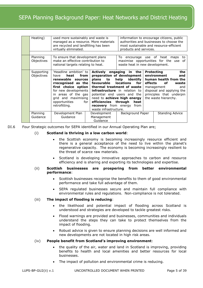| Heating)                 | used more sustainably and waste is<br>managed as a resource. More materials<br>are recycled and landfilling has been<br>virtually eliminated.                                                                                   | products and services.                                                                         |                                                                                                                                                                                                                                                         | information to encourage citizens, public<br>authorities and businesses to choose the<br>most sustainable and resource-efficient |                                                                                                                                                                                               |
|--------------------------|---------------------------------------------------------------------------------------------------------------------------------------------------------------------------------------------------------------------------------|------------------------------------------------------------------------------------------------|---------------------------------------------------------------------------------------------------------------------------------------------------------------------------------------------------------------------------------------------------------|----------------------------------------------------------------------------------------------------------------------------------|-----------------------------------------------------------------------------------------------------------------------------------------------------------------------------------------------|
| Planning<br>Objectives   | To ensure that development plans<br>make an effective contribution to<br>national targets relating to heat.                                                                                                                     |                                                                                                | waste heat in new development.                                                                                                                                                                                                                          |                                                                                                                                  | To encourage use of heat maps<br>to<br>maximise opportunities for the use<br>of                                                                                                               |
| Supporting<br>Objectives | 'Headline ambition' to<br>heat<br>from<br>have<br>renewable sources<br>rrecognised as the<br>first choice option<br>for new developments<br>in areas of the gas<br>grid and maximising<br>opportunities<br>for<br>retrofitting. | plans to<br>favourable<br>efficiencies<br><b>recovery</b> from energy<br>waste infrastructure. | Actively engaging in the<br>preparation of development<br>help identify<br>locations for<br>thermal treatment of waste<br><b>infrastructure</b> in relation to<br>potential end users and the<br>need to achieve high energy<br>through<br>heat<br>from | effects                                                                                                                          | <b>Protecting</b><br>the<br>environment<br>and<br>human health from the<br>of.<br>waste<br>and<br>management<br>disposal and applying the<br>principles that underpin<br>the waste hierarchy. |
| Planning<br>Guidance     | Development Plan<br>Guidance                                                                                                                                                                                                    | Development<br>Management<br>Guidance                                                          | Background Paper                                                                                                                                                                                                                                        |                                                                                                                                  | <b>Standing Advice</b>                                                                                                                                                                        |

DI.6 Four Strategic outcomes for SEPA identified in our Annual Operating Plan are;

#### (i) **Scotland is thriving in a low carbon world**:

- the Scottish economy is becoming increasingly resource efficient and there is a general acceptance of the need to live within the planet's regenerative capacity. The economy is becoming increasingly resilient to the threat of scarce raw materials.
- Scotland is developing innovative approaches to carbon and resource efficiency and is sharing and exporting its technologies and expertise.

# (ii) **Scottish businesses are prospering from better environmental performance**:

- Scottish businesses recognise the benefits to them of good environmental performance and take full advantage of them.
- SEPA regulated businesses secure and maintain full compliance with environmental rules and regulations. Non-compliance is not tolerated.

#### (iii) **The impact of flooding is reducing**:

- the likelihood and potential impact of flooding across Scotland is understood and strategies are developed to tackle greatest risks.
- Flood warnings are provided and businesses, communities and individuals understand the steps they can take to protect themselves from the impact of flooding.
- Robust advice is given to ensure planning decisions are well informed and new developments are not located in high risk areas.

#### (iv) **People benefit from Scotland's improving environment**:

- the quality of the air, water and land in Scotland is improving, providing benefits to health and local amenities and better resources for local businesses.
- The impact of pollution and environmental crime is reducing.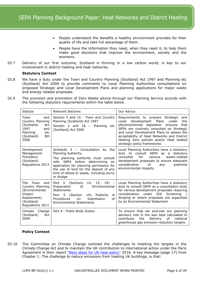- People understand the benefits a healthy environment provides for their quality of life and take full advantage of them.
- People have the information they need, when they need it, to help them make good decisions that improve the environment, society and the economy.
- DI.7 Delivery of our first outcome, Scotland is thriving in a low carbon world, is key to our involvement in district heating and heat networks.

# <span id="page-5-0"></span>**Statutory Context**

- DI.8 We have a duty under the Town and Country Planning (Scotland) Act 1997 and Planning etc (Scotland) Act 2006 to provide comments to Local Planning Authorities consultations on proposed Strategic and Local Development Plans and planning applications for major waste and energy related proposals.
- DI.9 The provision and promotion of Zero Waste advice through our Planning Service accords with the following statutory requirements within the table below.

| <b>Relevant Sections</b><br>Statute                                                                                                                                                                                                                                                                                                           |                                                                                                                                                                                                                                                                                            | Our Advice                                                                                                                                                                                                                                                                                                                                                    |  |
|-----------------------------------------------------------------------------------------------------------------------------------------------------------------------------------------------------------------------------------------------------------------------------------------------------------------------------------------------|--------------------------------------------------------------------------------------------------------------------------------------------------------------------------------------------------------------------------------------------------------------------------------------------|---------------------------------------------------------------------------------------------------------------------------------------------------------------------------------------------------------------------------------------------------------------------------------------------------------------------------------------------------------------|--|
| Town<br>and<br>Country Planning<br>(Scotland)<br>Act<br>1997<br>and<br>Planning<br>etc<br>(Scotland)<br>Bill<br>2006                                                                                                                                                                                                                          | Section 4 and 15 - Town and Country<br>Planning (Scotland) Act 1997<br>Section 2 and 18 - Planning etc<br>(Scotland) Act 2006                                                                                                                                                              | Requirements to prepare Strategic<br>and<br>Development<br>Plans<br>Local<br>under<br>the<br>aforementioned legislation ensures<br>that<br>SEPA are routinely consulted on Strategic<br>and Local Development Plans to assess the<br>acceptability of Heat Networks and District<br>Heating Zero policies and/or Heat related<br>strategic policy frameworks. |  |
| Development<br>Management<br>Procedure<br>(Scotland)<br>Regulations 2013                                                                                                                                                                                                                                                                      | Schedule 5 - Consultation<br>by the<br>Planning Authority.<br>The planning authority must consult<br>SEPA before determining<br>with<br>an<br>application for planning permission for<br>the use of land for the deposit of any<br>kind of refuse or waste, including slurry<br>or sludge. | Local Planning Authorities have a statutory<br>duty to consult SEPA as a<br>statutory<br>for<br>consultee<br>various<br>waste-related<br>development proposals to ensure adequate<br>consideration<br>of<br>potential<br>any<br>environmental impacts.                                                                                                        |  |
| Town<br>Part 4 (Sections<br>14, 15, 19) -<br>The<br>and<br>Country Planning<br>of<br>Preparation<br>Environmental<br>(Environmental<br><b>Statements</b><br>Impact<br>5 (Section<br>19)<br>Publicity<br>Part<br>&<br>Assessment)<br>Submission<br>of<br>Procedures<br>on<br>(Scotland)<br><b>Environmental Statements</b><br>Regulations 2011 |                                                                                                                                                                                                                                                                                            | Local Planning Authorities have a statutory<br>duty to consult SEPA as a consultation body<br>for various development proposals requiring<br>consideration under EIA Screening<br>Scoping or where proposals are supported<br>by an Environmental Statement.                                                                                                  |  |
| Change<br>Climate<br>(Scotland)<br>Act<br>2009                                                                                                                                                                                                                                                                                                | Part 4 - Public Body Duties                                                                                                                                                                                                                                                                | To ensure that we exercise our planning<br>advisory role in the way best calculated to<br>delivery<br>0f<br>contribute<br>the<br>national<br>greenhouse gas emission reduction targets.                                                                                                                                                                       |  |

# **Policy Context**

DI.10 The Committee on Climate Change outlined the challenges to meeting the targets in the Climate Change Act and to maintain the UK contribution to international action under the Paris Agreement in their report ["Next steps for UK heat policy"](https://www.theccc.org.uk/wp-content/uploads/2016/10/Next-steps-for-UK-heat-policy-Committee-on-Climate-Change-October-2016.pdf) 2016. A key message (page 17) from Chapter 1: The challenge to reduce emissions from heating UK buildings, is that: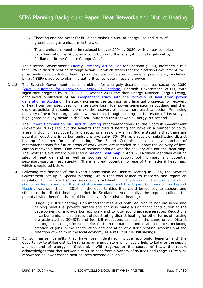- "heating and hot water for buildings make up 40% of energy use and 20% of greenhouse gas emissions in the UK.
- These emissions need to be reduced by over 20% by 2030, with a near complete decarbonisation by 2050, as a contribution to the legally-binding targets set by Parliament in the Climate Change Act. "
- DI.11 The Scottish Government's [Energy Efficiency Action Plan](https://www2.gov.scot/Resource/Doc/326979/0105437.pdf) for Scotland (2010) identified a role for SEPA in district heating through Action 6.2 which states that the Scottish Government "Will proactively develop district heating as a discrete policy area within energy efficiency, including by…(v) SEPA's advice to planning authorities re: water, heat and power."
- DI.12 The Scottish Government has an ambition for a largely decarbonised heat sector by 2050 [\(2020 Routemap for Renewable Energy in Scotland,](http://www.scotland.gov.uk/Resource/Doc/917/0118802.pdf) Scottish Government 2011), with significant progress by 2030. On 5 October 2011 the then Energy Minister, Fergus Ewing, announced publication of an independent study into the recovery of heat from power [generation in Scotland.](http://www.scotland.gov.uk/Topics/Business-Industry/Energy/Energy-sources/19185/Heat/Study) The study examines the technical and financial prospects for recovery of heat from four sites used for large scale fossil fuel power generation in Scotland and then explores policies that could help make the recovery of heat a more practical option. Promoting recovery of heat from large scale power stations through building on the results of this study is highlighted as a key action in the 2020 Routemap for Renewable Energy in Scotland
- DI.13 The [Expert Commission on District Heating](http://www.scotland.gov.uk/Resource/0040/00408383.pdf) recommendations to the Scottish Government (November 2012) sets out the benefits that district heating can have on a number of policy areas, including heat poverty, and reducing emissions – a key figure stated is that there are potential reductions in carbon emissions averaging 30-40% as a result of substituting district heating for other forms of heating. The Expert Commission set out a number of recommendations for future areas of work which are intended to support the delivery of lowcarbon renewable heat. One area of recommendation was the delivery of a national heat map. The Scottish Government published a [national heat map](http://www.scotland.gov.uk/Topics/Business-Industry/Energy/Energy-sources/19185/Heat/HeatMap) in April 2014 which identifies existing sites of heat demand as well as sources of heat supply, both primary and potential secondary/surplus heat supply. There is great potential for use of the national heat map, which is explored below.
- DI.14 Following the findings of the Expert Commission on District Heating in 2014, the Scottish Government set up a Special Working Group that was tasked to research and report on regulation to the Expert Commission on district heating. The Report of the Special Working [Group on Regulation For the Scottish Government and the Expert Commission on District](https://www2.gov.scot/Resource/0049/00497892.pdf)  [Heating](https://www2.gov.scot/Resource/0049/00497892.pdf) was published in 2016 on the opportunities that could be utilised to support and stimulate the district heating market in Scotland. Additionally, the report outlined the potential wider benefits that could be achieved from district heating:

(Page 1) District heating is an important means of both reducing carbon emissions and helping meet fuel poverty targets and can also make a significant contribution to the development of a low-carbon economy and to local economic regeneration. Reductions in carbon emissions as a result of substituting district heating for other forms of heating are estimated at 30-40% and fuel bill reductions can be of the same order. District heating also has significant benefits for both the national and local economies, including creation of jobs in the construction and operation of district heating systems and the retention of wealth in the local economy as a result of fuel bill savings.

DI.15 To summarise, benefits that have been identified include economic benefits and the opportunity to utilise district heating as an energy store which could help to balance the supply and demand of energy in Scotland. With regards to the source of heat, the report acknowledges that that networks can use heat from a variety of sources and (page 1) "can be repowered as lower carbon heat sources become available".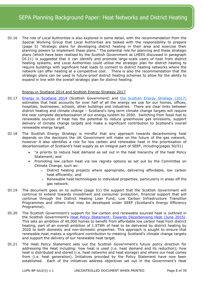DI.16 The role of Local Authorities is also explored in some detail, with the recommendation from the Special Working Group that Local Authorities are tasked with the responsibility to prepare (page 5) "strategic plans for developing district heating in their area and exercise their planning powers to implement these plans." The potential role for planning and these strategic plans (which have been realised by the Scottish Government as LHEES discussed in paragraph DI.21) is suggested that it can identify and promote large-scale users of heat from district heating systems, and Local Authorities could utilise the strategic plan for district heating to require buildings with significant heat loads to connect to district heating networks where the network can offer heating at a competitive cost. There is also the recommendation that the strategic plans can be used to future-proof district heating schemes to allow for the ability to expand in line with the overall strategic plan for district heating.

# Energy in Scotland 2014 and Scottish Energy Strategy 2017

- DI.17 [Energy in Scotland 2014](http://www.scotland.gov.uk/Resource/0044/00444530.pdf) (Scottish Government) and [the Scottish Energy Strategy \(2017\)](https://www.gov.scot/publications/scottish-energy-strategy-future-energy-scotland-9781788515276/) estimates that heat accounts for over half of all the energy we use for our homes, offices, hospitals, businesses, schools, other buildings and industries. There are clear links between district heating and climate change – Scotland's long term climate change targets will require the near complete decarbonisation of our energy system by 2050. Switching from fossil fuel to renewable sources of heat has the potential to reduce greenhouse gas emissions, support delivery of climate change targets and make a significant contribution to Scotland's overall renewable energy target.
- DI.18 The Scottish Energy Strategy is mindful that any approach towards decarbonising heat depends on the decisions the UK Government will make on the future of the gas network, however it also identifies a role for low carbon and renewable heat in the prioritisation of decarbonisation of Scotland's heat supply as an integral part of SEEP, including(pages 50/51)
	- "a priority to reduce heat demand as set out in the heat hierarchy of the heat Policy Statement; and
	- Promoting low carbon heat via low regrets options as set out by the Committee on Climate Change, such as:
		- $\circ$  District heating projects where appropriate, delivering affordable, low carbon heat efficiently; and
		- $\circ$  Renewable heat technologies to individual properties, particularly in areas off the gas network.
- DI.19 The document goes on to outline (page 51) the support that the Scottish Government will continue to extend towards investment and consumer protection, financial support that will continue through the District Heating Loan Fund, Low Carbon Infrastructure Transition Programmes and others that may be developed under SEEP (Scotland's Energy Efficiency Programme).
- DI.20 The Scottish Government's support for low-carbon and renewable sourced heat is outlined in the Scottish Government's [Heat Policy Statement: Towards Decarbonising Heat \(June 2015\).](http://www.gov.scot/Resource/0047/00478997.pdf) This sets an ambition of 40,000 homes to benefit from affordable low carbon heat from district heating, part of an overall ambition of 1.5TWh of heat to be delivered by district heating by 2020 to both domestic and non-domestic properties. This approach is sought to ensure that renewable heat makes a significant contribution to meeting Scotland's climate change targets and support the delivery of our renewable heat target.
- DI.21 The Heat Policy Statement sets out the Scottish Government's future policy direction for addressing the Heat including: how heat is used (i.e. heat demand and its reduction); how heat is distributed and stored (i.e. heat networks and heat storage) and where our heat comes from (i.e. heat generation). Initiatives provided by the Policy Statement have now been established. Each of the initiatives address objectives set out in the Government's Heat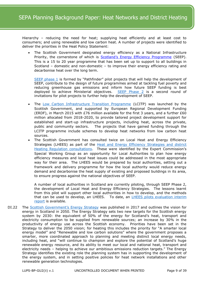Hierarchy – reducing the need for heat; supplying heat efficiently and at least cost to consumers; and using renewable and low carbon heat. A number of projects were identified to deliver the priorities in the Heat Policy Statement:

 The Scottish Government designated energy efficiency as a National Infrastructure Priority, the cornerstone of which is **[Scotland's Energy Efficiency Programme](https://www.gov.scot/binaries/content/documents/govscot/publications/consultation-paper/2017/01/national-infrastructure-priority-energy-efficiency-scotlands-energy-efficiency-programme/documents/00513248-pdf/00513248-pdf/govscot%3Adocument/00513248.pdf)** (SEEP). This is a 15 to 20 year programme that has been set up to support to all buildings in Scotland – domestic and non-domestic – to improve their energy efficiency rating and decarbonise heat over the long term.

[SEEP phase 1](https://www2.gov.scot/Topics/Business-Industry/Energy/Action/lowcarbon/LCITP/SEEP/Phase-1) is formed by "Pathfinder" pilot projects that will help the development of SEEP, contribute to the design of future programmes aimed at tackling fuel poverty and reducing greenhouse gas emissions and inform how future SEEP funding is best deployed to achieve Ministerial objectives. [SEEP Phase 2](https://www2.gov.scot/Topics/Business-Industry/Energy/SEEP/SEEPPhase2) is a second round of invitations for pilot projects to further help the development of SEEP.

- The [Low Carbon Infrastructure Transition Programme](https://www.gov.scot/publications/low-carbon-infrastructure-transition-programme-supported-projects-2017/) (LCITP) was launched by the Scottish Government, and supported by European Regional Development Funding (ERDF), in March 2015 with £76 million available for the first 3 years, and a further £60 million allocated from 2018-2020, to provide tailored project development support for established and start-up infrastructure projects, including heat, across the private, public and community sectors. The projects that have gained funding through the LCITP programme include schemes to develop heat networks from low carbon heat sources.
- The Scottish Government has consulted twice on Local Heat and Energy Efficiency Strategies (LHEES) as part of the **Heat and Energy Efficiency Strategies and district** [Heating Regulation consultations](https://www.gov.scot/publications/consultation-heat-energy-efficiency-strategies-regulation-district-heating/pages/3/). These were identified by the Expert Commission's Special Working Group as an opportunity for Local Authorities to plan how energy efficiency measures and local heat issues could be addressed in the most appropriate way for their area. The LHEES would be prepared by local authorities, setting out a framework and delivery programme for how the local authority would reduce energy demand and decarbonise the heat supply of existing and proposed buildings in its area, to ensure progress against the national objectives of SEEP.

A number of local authorities in Scotland are currently piloting, through SEEP Phase 2, the development of Local Heat and Energy Efficiency Strategies. The lessons learnt from this pilot will support other local authorities in how to develop, and the methods that can be used to develop, an LHEES. To date, an [LHEES pilots evaluation interim](https://www.gov.scot/binaries/content/documents/govscot/publications/corporate-report/2018/02/lhees-pilots-evaluation-interim-report/documents/526ecb50-c254-4e09-87a7-a03f7ebb1090/526ecb50-c254-4e09-87a7-a03f7ebb1090/govscot%3Adocument)  [report](https://www.gov.scot/binaries/content/documents/govscot/publications/corporate-report/2018/02/lhees-pilots-evaluation-interim-report/documents/526ecb50-c254-4e09-87a7-a03f7ebb1090/526ecb50-c254-4e09-87a7-a03f7ebb1090/govscot%3Adocument) is available.

DI.22 The [Scottish Government's Energy Strategy](https://www.gov.scot/publications/scottish-energy-strategy-future-energy-scotland-9781788515276/) was published in 2017 and outlines the vision for energy in Scotland in 2050. The Energy Strategy sets two new targets for the Scottish energy system by 2030: the equivalent of 50% of the energy for Scotland's heat, transport and electricity consumption to be supplied from renewable sources; an increase by 30% in the productivity of energy use across the Scottish economy. Priorities have been set in the Strategy to deliver the 2050 vision; for heating this includes the priority for "A smarter local energy model" and "Renewable and low carbon solutions" where the government proposes a smarter, more coordinated approach to planning and meeting distinct local energy needs, including heat, and "will continue to champion and explore the potential of Scotland's huge renewable energy resource, and its ability to meet our local and national heat, transport and electricity needs – helping to achieve our ambitious emissions reduction targets." The Energy Strategy identifies the existing role the planning system has in supporting the development of the energy system, and in setting positive policies for heat network installations and other renewable generation technologies.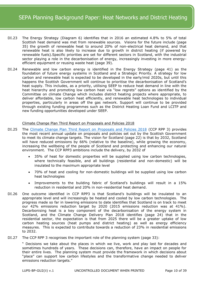- DI.23 The Energy Strategy (Diagram 6) identifies that in 2016 an estimated 4.8% to 5% of total Scottish heat demand was met from renewable sources. Visions for the future include (page 35) the growth of renewable heat to around 20% of non-electrical heat demand, and that renewable heat is also likely to increase due to growth in district heating (if powered by renewable fuels).Specific priorities are set for different sectors in Scotland, with the industrial sector playing a role in the decarbonisation of energy, increasingly investing in more energyefficient equipment or reusing waste heat (page 39).
- DI.24 Renewable and low carbon energy is identified in the Energy Strategy (page 41) as the foundation of future energy systems in Scotland and a Strategic Priority. A strategy for low carbon and renewable heat is expected to be developed in the early/mid 2020s, but until this happens the Scottish Government will continue to prioritise the decarbonisation of Scotland's heat supply. This includes, as a priority, utilising SEEP to reduce heat demand in line with the heat hierarchy and promoting low carbon heat via "low regrets" options as identified by the Committee on climate Change which includes district heating projects where appropriate, to deliver affordable, low carbon heat efficiently, and renewable heat technologies to individual properties, particularly in areas off the gas network. Support will continue to be provided through existing funding programmes such as the District Heating Loan Fund and LCITP and new funding opportunities developed under SEEP.

#### Climate Change Plan Third Report on Proposals and Policies 2018

- DI.25 The [Climate Change Plan Third Report on Proposals and Policies 2018](https://www.gov.scot/binaries/content/documents/govscot/publications/report/2018/02/scottish-governments-climate-change-plan-third-report-proposals-policies-2018/documents/00532096-pdf/00532096-pdf/govscot%3Adocument) (CCP RPP 3) provides the most recent annual update on proposals and policies set out by the Scottish Government to meet its climate change targets. The vision for Scotland (page 22) is that by 2032, Scotland will have reduced emissions by 66% (relative to the baseline), while growing the economy, increasing the wellbeing of the people of Scotland and protecting and enhancing our natural environment. The CCP RPP3 ambitions include the delivery, by 2032 of
	- 35% of heat for domestic properties will be supplied using low carbon technologies, where technically feasible, and all buildings (residential and non-domestic) will be insulated to the maximum appropriate level
	- 70% of heat and cooling for non-domestic buildings will be supplied using low carbon heat technologies
	- Improvements to the building fabric of Scotland's buildings will result in a 15% reduction in residential and 20% in non-residential heat demand.
- DI.26 One outcome identified in CCP RPP3 is that Scotland's buildings will be insulated to an appropriate level and will increasingly be heated and cooled by low carbon technologies. The progress made so far in lowering emissions to date identifies that Scotland is on track to meet our 42% emissions reduction target by 2020 (2015 emissions reduction was at 41%). Decarbonising heat is a key component of the decarbonisation of the energy system in Scotland, and the Climate Change Delivery Plan 2018 identifies (page 24) that in the residential sector, the expectation is that from 2025 there will be a greater uptake of low carbon heating sources (heat pumps and district heating) as well as energy efficiency measures. This is expected to contribute towards a reduction of 23% in residential emissions to 2032.
- DI.27 The CCP RPP 3 recognises the important role of the planning system (page 33):

" Decisions we take about the places in which we live, work and play last for decades and sometimes hundreds of years. These decisions can, therefore, have an impact on people for their entire lives. The planning system must provide the framework in which decisions about "place" can support low carbon lifestyles and the transformative change needed to deliver emissions reduction targets."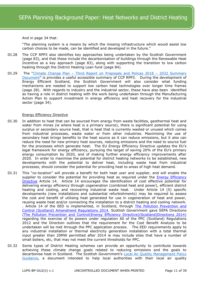# And in page 34 that:

"The planning system is a means by which the missing infrastructure which would assist low carbon choices to be made, can be identified and developed in the future."

- DI.28 The CCP RPP3 also identifies key approaches being undertaken by the Scottish Government (page 83), and that these include the decarbonisation of buildings through the Renewable Heat Incentive as a key approach (page 83), along with supporting the transition to low carbon heating through the District Heating Loan fund (page 84).
- DI.29 The "Climate Change Plan [Third Report on Proposals and Polices 2018](https://www.gov.scot/publications/scottish-governments-climate-change-plan-third-report-proposals-policies-2018-9781788516488/)  2032 Summary [Document](https://www.gov.scot/publications/scottish-governments-climate-change-plan-third-report-proposals-policies-2018-9781788516488/)" is provides a useful accessible summary of CCP RPP3. During the development of Energy Efficient Scotland, the Scottish Government will also consider what funding mechanisms are needed to support low carbon heat technologies over longer time frames (page 28). With regards to industry and the industrial sector, these have also been identified as having a role in district heating with the work being undertaken through the Manufacturing Action Plan to support investment in energy efficiency and heat recovery for the industrial sector (page 34).

# Energy Efficiency Directive

- DI.30 In addition to heat that can be sourced from energy from waste facilities, geothermal heat and water from mines (ie where heat is a primary source), there is significant potential for using surplus or secondary source heat, that is heat that is currently wasted or unused which comes from industrial processes, waste water or from other industries. Maximising the use of secondary heat brings benefits to the heat source as it can reduce emissions, but it also can reduce the need for new primary heat sources, reducing emissions and the need to source fuel for the processes which generate heat. The EU Energy Efficiency Directive updates the EU's legal framework for energy efficiency, pursuing the target of saving 20% of the EU's primary energy consumption by 2020, and of making further energy efficiency improvements after 2020. In order to maximise the potential for district heating networks to be established, new developments with the potential to deliver heat, including waste heat from industrial processes, should consider the potential for providing heat to areas of high heat demand.
- DI.31 This "co-location" will provide a benefit for both heat user and supplier, and will enable the supplier to consider the potential for providing heat as required under the **Energy Efficiency** [Directive](http://eur-lex.europa.eu/legal-content/en/TXT/?uri=celex:32012L0027) Article 14. Article 14 encourages the identification of cost effective potential for delivering energy efficiency through cogeneration (combined heat and power), efficient district heating and cooling, and recovering industrial waste heat. Under Article 14 (5) specific developments (new installations and substantial refurbishments) may be required to assess the cost and benefit of utilising heat generated for use in cogeneration of heat and power, reusing waste heat and/or connecting the installation to a district heating and cooling network. . Article 14 of the EED is implemented, in Scotland, through [The Pollution Prevention and](http://www.legislation.gov.uk/sdsi/2014/9780111023990/contents)  [Control \(Scotland\) Amendment Regulations 2014.](http://www.legislation.gov.uk/sdsi/2014/9780111023990/contents) Scottish Government gave SEPA Directions [\(The Pollution Prevention and Control\(Energy Efficiency Directive\)\(Scotland\)Directions 2014\)](http://www.scotland.gov.uk/Resource/0046/00460566.pdf) regarding the exercise of its powers under regulation 60 of the PPC (Scotland) Regulations 2012 and the Direction outlines that the requirement for the Cost Benefit Analysis to be undertaken will be met through the PPC application process. The EED requirements apply to any industrial installation or thermal electricity generation installation with a total thermal input greater than 20MW permitted after 2014 ie may include sites that have a number of small boilers, etc, that may not meet the current thresholds for PPC.
- DI.32 Some types of District Heating schemes can provide an opportunity to contribute towards achieving these climate change goals related to reducing emissions and the goals to decarbonise heat in Scotland. The Scottish Government's Local Air Quality Management Policy [Guidance,](https://www.gov.scot/publications/local-air-quality-management-policy-guidance-scotland/pages/12/) a document intended to help local authorities with their local air quality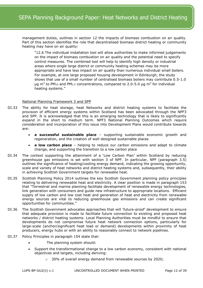management duties, outlines in section 12 the impacts of biomass combustion on air quality. Part of this section identifies the role that decentralised biomass district heating or community heating may have on air quality:

"12.6 The individual installation tool will allow authorities to make informed judgements on the impact of biomass combustion on air quality and the potential need to specify control measures. The combined tool will help to identify high density or industrial areas where single large district or community heating schemes may be more appropriate and have less impact on air quality than numerous individual small boilers. For example, at one large proposed housing development in Edinburgh, the study shows that use of a small number of centralised biomass boilers may contribute 0.5-1.0  $\mu$ g m<sup>3</sup> to PM<sub>10</sub> and PM<sub>2.5</sub> concentrations, compared to 2.0-5.0  $\mu$ g m<sup>3</sup> for individual heating systems."

# National Planning Framework 3 and SPP

- DI.33 The ability for heat storage, heat Networks and district heating systems to facilitate the provision of efficient energy systems within Scotland has been advocated through the NPF3 and SPP. It is acknowledged that this is an emerging technology that is likely to significantly expand in the short to medium term. NPF3 National Planning Outcomes which require consideration and incorporation of this issue into Development Plans would contribute towards are:
	- **a successful sustainable place** supporting sustainable economic growth and regeneration, and the creation of well-designed sustainable places
	- **a low carbon place** helping to reduce our carbon emissions and adapt to climate change, and supporting the transition to a low carbon place
- DI.34 The context supporting the attainment of a 'Low Carbon Plan' within Scotland by reducing greenhouse gas emissions is set with section 3 of NPF. In particular, NPF (paragraph 3.5) outlines the significance of heating/cooling energy demand, indicating the growing opportunity, scale and variety of heat networks and district heating systems and, subsequently, their ability in achieving Scottish Government targets for renewable heat.
- DI.35 Scottish Planning Policy 2014 outlines the key Scottish Government planning policy principles relating to delivering renewable heat and electricity. A clear position is made in paragraph 153 that "Terrestrial and marine planning facilitate development of renewable energy technologies, link generation with consumers and guide new infrastructure to appropriate locations. Efficient supply of low carbon and low cost heat and generation of heat and electricity from renewable energy sources are vital to reducing greenhouse gas emissions and can create significant opportunities for communities."
- DI.36 The Scottish Government advocates approaches that will 'future-proof' development to ensure that adequate provision is made to facilitate future connection to existing and proposed heat networks / district heating systems. Local Planning Authorities must be mindful to ensure that developments do not compromise future heat network connection options, particularly for large-scale (anchor/significant heat load or demand) developments within proximity of heat producers, energy hubs or with an ability to reasonably connect to network pipelines.
- DI.37 Policy Principles in paragraph 154 state that:
	- The planning system should:
	- Support the transformational change to a low carbon economy, consistent with national objectives and targets, including deriving:
		- o 30% of overall energy demand from renewable sources by 2020;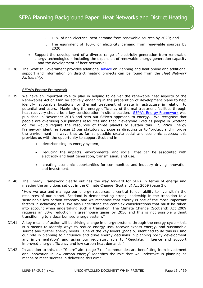- 11% of non-electrical heat demand from renewable sources by 2020; and
- o The equivalent of 100% of electricity demand from renewable sources by 2020.
- Support the development of a diverse range of electricity generation from renewable energy technologies – including the expansion of renewable energy generation capacity – and the development of heat networks;
- DI.38 The Scottish Government provides additional [advice](http://www.gov.scot/Resource/0042/00423580.pdf) on Planning and heat online and additional support and information on district heating projects can be found from the *Heat Network Partnership*.

# SEPA's Energy Framework

- DI.39 We have an important role to play in helping to deliver the renewable heat aspects of the Renewables Action Plan by actively engaging in the preparation of development plans to help identify favourable locations for thermal treatment of waste infrastructure in relation to potential end users. Maximising the energy efficiency of thermal treatment facilities through heat recovery should be a key consideration in site allocation. SEPA's [Energy Framework](https://www.sepa.org.uk/media/383806/sepa_energy_framework.pdf) was published in November 2018 and sets out SEPA's approach to energy. We recognise that people are overusing our planet's resources and that if everyone lived as people in Scotland do, we would require the resources of three planets to sustain this. SEPPA's Energy Framework identifies (page 2) our statutory purpose as directing us to "protect and improve the environment, in ways that as far as possible create social and economic success; this provides us with the opportunity to support Scotland in
	- decarbonising its energy system;
	- reducing the impacts, environmental and social, that can be associated with electricity and heat generation, transmission, and use;
	- creating economic opportunities for communities and industry driving innovation and investment.
- DI.40 The Energy Framework clearly outlines the way forward for SEPA in terms of energy and meeting the ambitions set out in the Climate Change (Scotland) Act 2009 (page 3):

"How we use and manage our energy resources is central to our ability to live within the resources of our planet. Scotland is demonstrating strong leadership in the transition to a sustainable low carbon economy and we recognise that energy is one of the most important factors in achieving this. We also understand the complex considerations that must be taken into account when undertaking such a transition. The Climate Change (Scotland) Act 2009 requires an 80% reduction in greenhouse gases by 2050 and this is not possible without transitioning to a decarbonised energy system."

- DI.41 A key means of action will be driving change in energy systems through the energy cycle this is a means to identify ways to reduce energy use, recover excess energy, and sustainable source any further energy needs. One of the key levers (page 5) identified to do this is using our role in planning to "influence and drive energy decisions in planning policy development and implementation" and using our regulatory role to "Regulate, influence and support improved energy efficiency and low carbon heat demands."
- DI.42 In addition to this, our "Share" aim (page 7) "communities are benefitting from investment and innovation in low carbon energy" identifies the role that we undertake in planning as means to meet success in delivering this aim: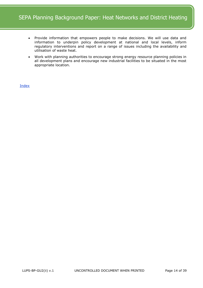- Provide information that empowers people to make decisions. We will use data and information to underpin policy development at national and local levels, inform regulatory interventions and report on a range of issues including the availability and utilisation of waste heat.
- Work with planning authorities to encourage strong energy resource planning policies in all development plans and encourage new industrial facilities to be situated in the most appropriate location.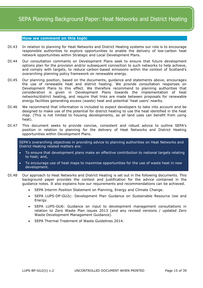#### <span id="page-14-0"></span>**How we comment on this topic**

- DI.43 In relation to planning for Heat Networks and District Heating systems our role is to encourage responsible authorities to explore opportunities to enable the delivery of low-carbon heat network opportunities within Strategic and Local Development Plans.
- DI.44 Our consultation comments on Development Plans seek to ensure that future development options plan for the provision and/or subsequent connection to such networks to help achieve, and comply with targets, to reduce carbon-based emissions within the context of Scotland's overarching planning policy framework on renewable energy.
- DI.45 Our planning position, based on the documents, guidance and statements above, encourages the use of renewable heat and district heating. We provide consultation responses on Development Plans to this effect. We therefore recommend to planning authorities that consideration is given in Development Plans towards the implementation of heat networks/district heating, and require that links are made between proposals for renewable energy facilities generating excess (waste) heat and potential 'heat users' nearby.
- DI.46 We recommend that information is included to expect developers to take into account and be designed to make use of the potential for district heating to use the heat identified in the heat map. (This is not limited to housing developments, as all land uses can benefit from using heat).
- DI.47 This document seeks to provide concise, consistent and robust advice to outline SEPA's position in relation to planning for the delivery of Heat Networks and District Heating opportunities within Development Plans.

SEPA's overarching objectives in providing advice to planning authorities on Heat Networks and District Heating related matters are:

- To ensure that development plans make an effective contribution to national targets relating to heat; and,
- To encourage use of heat maps to maximise opportunities for the use of waste heat in new development.
- DI.48 Our approach to Heat Networks and District Heating is set out in the following documents. This background paper provides the context and justification for the advice contained in the guidance notes. It also explains how our requirements and recommendations can be achieved.
	- SEPA Interim Position Statement on Planning, Energy and Climate Change.
	- SEPA LUPS-DP-GU2c: Development Plan Guidance on Sustainable Resource Use and Energy.
	- SEPA LUPS-GU6: Guidance on input to development management consultations in relation to Zero Waste Plan issues 2013 (and any revised versions / updated Zero Waste Development Management Guidance).
	- SEPA Thermal Treatment of Waste Guidelines 2014.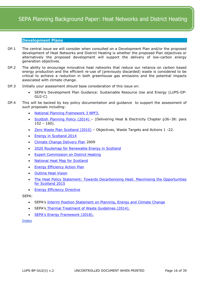# <span id="page-15-0"></span>**Development Plans**

- DP.1 The central issue we will consider when consulted on a Development Plan and/or the proposed development of Heat Networks and District Heating is whether the proposed Plan objectives or alternatively the proposed development will support the delivery of low-carbon energy generation objectives.
- DP.2 The ability to encourage innovative heat networks that reduce our reliance on carbon based energy production and the efficient re-use of (previously discarded) waste is considered to be critical to achieve a reduction in both greenhouse gas emissions and the potential impacts associated with climate change.
- DP.3 Initially your assessment should base consideration of this issue on:
	- SEPA's Development Plan Guidance: Sustainable Resource Use and Energy (LUPS-DP-GU2-C)
- DP.4 This will be backed by key policy documentation and guidance to support the assessment of such proposals including:
	- [National Planning Framework 3 NPF3.](http://www.gov.scot/Resource/0045/00453683.pdf)
	- [Scottish Planning Policy \(2014\)](http://www.gov.scot/Resource/0045/00453827.pdf)  (Delivering Heat & Electricity Chapter p36–38: para  $152 - 160$ ).
	- [Zero Waste Plan Scotland \(2010\)](http://www.gov.scot/Publications/2010/06/08092645/0) Objectives, Waste Targets and Actions 1 -22.
	- [Energy in Scotland 2014](http://www.scotland.gov.uk/Resource/0044/00444530.pdf)
	- [Climate Change Delivery Plan](http://www.scotland.gov.uk/Publications/2009/06/18103720/0) 2009
	- [2020 Routemap for Renewable Energy in Scotland](http://www.scotland.gov.uk/Resource/Doc/917/0118802.pdf)
	- [Expert Commission on District Heating](http://www.scotland.gov.uk/Resource/0040/00408383.pdf)
	- [National Heat Map for Scotland](http://www.scotland.gov.uk/Topics/Business-Industry/Energy/Energy-sources/19185/Heat/HeatMap)
	- **[Energy Efficiency Action Plan](http://www.scotland.gov.uk/Resource/Doc/326979/0105437.pdf)**
	- [Outline Heat Vision](http://www.scotland.gov.uk/Topics/Business-Industry/Energy/Energy-sources/19185/Heat/DraftHeatDeployment)
	- The Heat Policy Statement: [Towards Decarbonising Heat: Maximising the Opportunities](http://www.gov.scot/Resource/0047/00478997.pdf)  [for Scotland 2015](http://www.gov.scot/Resource/0047/00478997.pdf)
	- [Energy Efficiency Directive](http://eur-lex.europa.eu/legal-content/en/TXT/?uri=celex:32012L0027)

SEPA:

- SEPA's [Interim Position Statement on Planning, Energy and Climate Change](http://www.sepa.org.uk/media/146762/interim-position-statement-on-planning-energy-and-climate-change.pdf)
- SEPA's [Thermal Treatment of Waste Guidelines \(2014\).](http://www.sepa.org.uk/media/28983/thermal-treatment-of-waste-guidelines_2014.pdf)
- [SEPA's Energy Framework \(2018\).](https://www.sepa.org.uk/media/383806/sepa_energy_framework.pdf)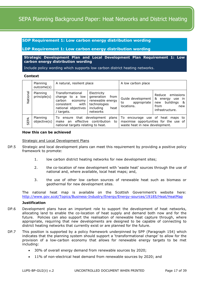# <span id="page-16-0"></span>**SDP Requirement 1: Low carbon energy distribution wording**

# <span id="page-16-1"></span>**LDP Requirement 1: Low carbon energy distribution wording**

**Strategic Development Plan and Local Development Plan Requirement 1: Low carbon energy distribution wording**

Include policy wording which supports low carbon district heating networks.

#### **Context**

|          | Planning<br>outcome(s)   | A natural, resilient place                                                                                            |                                                                                                        | A low carbon place                                                 |                                                                                                          |
|----------|--------------------------|-----------------------------------------------------------------------------------------------------------------------|--------------------------------------------------------------------------------------------------------|--------------------------------------------------------------------|----------------------------------------------------------------------------------------------------------|
| National | Planning<br>principle(s) | Transformational<br>change to a low<br>carbon<br>economy<br>consistent<br>with I<br>national objectives<br>/ targets. | Electricity<br>generation<br>from<br>renewable energy<br>technologies<br>including<br>heat<br>networks | Guide development<br>appropriate<br>to<br>locations.               | emissions<br>Reduce<br>&<br>energy use<br>-in<br>buildings<br>&<br>new<br>from<br>new<br>infrastructure. |
| SEPA     | Planning<br>objective(s) | that development plans<br>To ensure<br>effective contribution to<br>make an<br>national targets relating to heat.     |                                                                                                        | To encourage use of heat maps to<br>waste heat in new development. | maximise opportunities for the use of                                                                    |

#### **How this can be achieved**

Strategic and Local Development Plans

- DP.5 Strategic and local development plans can meet this requirement by providing a positive policy framework to promote:
	- 1. low carbon district heating networks for new development sites;
	- 2. the co-location of new development with 'waste heat' sources through the use of national and, where available, local heat maps; and,
	- 3. the use of other low carbon sources of renewable heat such as biomass or geothermal for new development sites.

The national heat map is available on the Scottish Government's website here: <http://www.gov.scot/Topics/Business-Industry/Energy/Energy-sources/19185/Heat/HeatMap>

#### **Justification**

- DP.6 Development plans have an important role to support the development of heat networks, allocating land to enable the co-location of heat supply and demand both now and for the future. Policies can also support the realisation of renewable heat capture through, where appropriate, requiring that new developments are designed to be capable of connecting to district heating networks that currently exist or are planned for the future.
- DP.7 This position is supported by a policy framework underpinned by SPP (Paragraph 154) which indicates that the planning system should support a 'transformational change' to allow for the provision of a low-carbon economy that allows for renewable energy targets to be met including:
	- 30% of overall energy demand from renewable sources by 2020;
	- 11% of non-electrical heat demand from renewable sources by 2020; and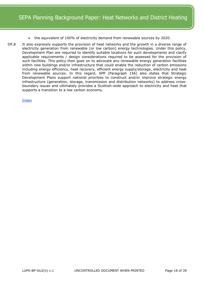- the equivalent of 100% of electricity demand from renewable sources by 2020.
- DP.8 It also expressly supports the provision of heat networks and the growth in a diverse range of electricity generation from renewable (or low carbon) energy technologies. Under this policy, Development Plan are required to identify suitable locations for such developments and clarify applicable requirements / design considerations required to be assessed for the provision of such facilities. This policy then goes on to advocate any renewable energy generation facilities within new buildings and/or infrastructure that could enable the reduction of carbon emissions including energy efficiency, heat recovery, efficient energy supply/storage, electricity and heat from renewable sources. In this regard, SPP (Paragraph 156) also states that Strategic Development Plans support national priorities to construct and/or improve strategic energy infrastructure (generation, storage, transmission and distribution networks) to address crossboundary issues and ultimately provides a Scottish-wide approach to electricity and heat that supports a transition to a low carbon economy.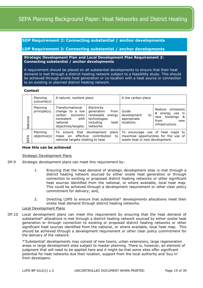<span id="page-18-0"></span>**SDP Requirement 2: Connecting substantial / anchor developments**

<span id="page-18-1"></span>**LDP Requirement 2: Connecting substantial / anchor developments**

# **Strategic Development Plan and Local Development Plan Requirement 2: Connecting substantial / anchor developments**

A requirement should be placed on all substantial developments to ensure that their heat demand is met through a district heating network subject to a feasibility study. This should be achieved through onsite heat generation or co-location with a heat source or connection to an existing or planned district heating network.

#### **Context**

|          | Planning<br>outcome(s)   | A natural, resilient place                                                                                        |                                                                                                           | A low carbon place                                      |                                                                                                   |
|----------|--------------------------|-------------------------------------------------------------------------------------------------------------------|-----------------------------------------------------------------------------------------------------------|---------------------------------------------------------|---------------------------------------------------------------------------------------------------|
| National | Planning<br>principle(s) | Transformational<br>change to a low<br>carbon<br>economy<br>consistent<br>with<br>national<br>objectives/targets. | Electricity<br>generation<br>from<br>renewable<br>energy<br>technologies<br>including<br>heat<br>networks | Guide<br>development<br>to<br>appropriate<br>locations. | emissions<br>Reduce<br>&<br>energy use in<br>buildings &<br>new<br>from<br>new<br>infrastructure. |
| SEPA     | Planning<br>objective(s) | To:<br>ensure<br>make<br>an<br>national targets relating to heat.                                                 | that development plans<br>effective contribution<br>to                                                    | waste heat in new development.                          | To encourage use of heat maps to<br>maximise opportunities for the use of                         |

#### **How this can be achieved**

Strategic Development Plans

- DP.9 Strategic development plans can meet this requirement by:
	- 1. Ensuring that the heat demand of strategic development sites is met through a district heating network sourced by either onsite heat generation or through connection to existing or proposed district heating networks or other significant heat sources identified from the national, or where available, local heat map. This could be achieved through a development requirement or other clear policy commitment for delivery; and,
	- 2. Directing LDPS to ensure that substantial\* developments allocations meet their onsite heat demand through district heating networks.

#### Local Development Plans

DP.10 Local development plans can meet this requirement by ensuring that the heat demand of substantial\* allocations is met through a district heating network sourced by either onsite heat generation or through connection to existing or proposed district heating networks or other significant heat sources identified from the national, or where available, local heat map. This should be achieved through a development requirement or other clear policy commitment for the delivery of the network.

\*'Substantial' developments may consist of new towns, urban extensions, large regeneration areas or large development sites subject to master planning. There is, however, an element of judgment that will need to be applied here and it might be that some sites offer significant potential for heat networks due their location, support from the local authority and 'buy in' from developers.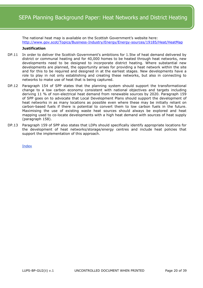The national heat map is available on the Scottish Government's website here: <http://www.gov.scot/Topics/Business-Industry/Energy/Energy-sources/19185/Heat/HeatMap>

# **Justification**

- DP.11 In order to deliver the Scottish Government's ambitions for 1.5tw of heat demand delivered by district or communal heating and for 40,000 homes to be heated through heat networks, new developments need to be designed to incorporate district heating. Where substantial new developments are planned, the opportunity arises for providing a heat network within the site and for this to be required and designed in at the earliest stages. New developments have a role to play in not only establishing and creating these networks, but also in connecting to networks to make use of heat that is being captured.
- DP.12 Paragraph 154 of SPP states that the planning system should support the transformational change to a low carbon economy consistent with national objectives and targets including deriving 11 % of non-electrical heat demand from renewable sources by 2020. Paragraph 159 of SPP goes on to advocate that Local Development Plans should support the development of heat networks in as many locations as possible even where these may be initially reliant on carbon-based fuels if there is potential to convert them to low carbon fuels in the future. Maximising the use of existing waste heat sources should always be explored and heat mapping used to co-locate developments with a high heat demand with sources of heat supply (paragraph 158).
- DP.13 Paragraph 159 of SPP also states that LDPs should specifically identify appropriate locations for the development of heat networks/storage/energy centres and include heat policies that support the implementation of this approach.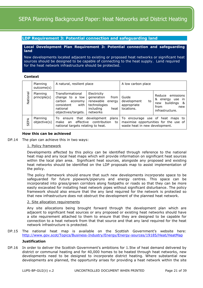# <span id="page-20-0"></span>**LDP Requirement 3: Potential connection and safeguarding land**

# **Local Development Plan Requirement 3: Potential connection and safeguarding land**

New developments located adjacent to existing or proposed heat networks or significant heat sources should be designed to be capable of connecting to the heat supply. Land required for the heat network infrastructure should be protected.

# **Context**

|          | Planning<br>outcome(s)   | A natural, resilient place                                                                                                        |                                                                                                           | A low carbon place                                                                                          |                                                                                                             |
|----------|--------------------------|-----------------------------------------------------------------------------------------------------------------------------------|-----------------------------------------------------------------------------------------------------------|-------------------------------------------------------------------------------------------------------------|-------------------------------------------------------------------------------------------------------------|
| National | Planning<br>principle(s) | Transformational<br>change to a low<br>carbon<br>economy<br>consistent<br>with<br>national<br>objectives/targets.                 | Electricity<br>generation<br>from<br>renewable<br>energy<br>technologies<br>including<br>heat<br>networks | Guide<br>development<br>to<br>appropriate<br>locations.                                                     | emissions<br>Reduce<br>&<br>energy use<br>- in<br>buildings<br>- &<br>new<br>from<br>new<br>infrastructure. |
| SEPA     | Planning<br>objective(s) | plans<br>that development<br>To:<br>ensure<br>contribution<br>effective<br>to<br>make<br>an<br>national targets relating to heat. |                                                                                                           | To encourage use of heat maps to<br>maximise opportunities for the use of<br>waste heat in new development. |                                                                                                             |

# **How this can be achieved**

DP.14 The plan can achieve this in two ways:

#### 1. Policy framework

Developments affected by this policy can be identified through reference to the national heat map and any local heat maps which will provide information on significant heat sources within the local plan area. Significant heat sources, alongside any proposed and existing heat networks should be identified on the LDP proposals map to assist implementation of the policy.

The policy framework should ensure that such new developments incorporate space to be safeguarded for future pipework/piperuns and energy centres. This space can be incorporated into grass/green corridors along footpaths or roads so that they can be more easily excavated for installing heat network pipes without significant disturbance. The policy framework should also ensure that the any land required for the network is protected so that new infrastructure does not obstruct the development of the planned heat network.

#### 2. Site allocation requirements

Any site allocations being brought forward through the development plan which are adjacent to significant heat sources or any proposed or existing heat networks should have a site requirement attached to them to ensure that they are designed to be capable for connection to a heat network from that that source and that any land required for the heat network infrastructure is protected.

#### DP.15 The national heat map is available on the Scottish Government's website here: <http://www.gov.scot/Topics/Business-Industry/Energy/Energy-sources/19185/Heat/HeatMap>

# **Justification**

DP.16 In order to deliver the Scottish Government's ambitions for 1.5tw of heat demand delivered by district or communal heating and for 40,000 homes to be heated through heat networks, new developments need to be designed to incorporate district heating. Where substantial new developments are planned, the opportunity arises for providing a heat network within the site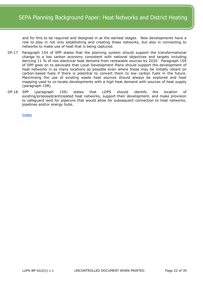and for this to be required and designed in at the earliest stages. New developments have a role to play in not only establishing and creating these networks, but also in connecting to networks to make use of heat that is being captured.

- DP.17 Paragraph 154 of SPP states that the planning system should support the transformational change to a low carbon economy consistent with national objectives and targets including deriving 11 % of non-electrical heat demand from renewable sources by 2020. Paragraph 159 of SPP goes on to advocate that Local Development Plans should support the development of heat networks in as many locations as possible even where these may be initially reliant on carbon-based fuels if there is potential to convert them to low carbon fuels in the future. Maximising the use of existing waste heat sources should always be explored and heat mapping used to co-locate developments with a high heat demand with sources of heat supply (paragraph 158).
- DP.18 SPP (paragraph 159) states that LDPS should identify the location of existing/proposed/anticipated heat networks, support their development, and make provision to safeguard land for piperuns that would allow for subsequent connection to heat networks, pipelines and/or energy hubs.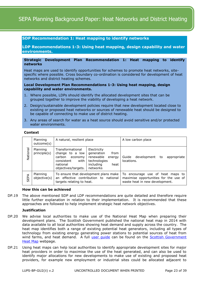# <span id="page-22-0"></span>**SDP Recommendation 1: Heat mapping to identify networks**

<span id="page-22-1"></span>**LDP Recommendations 1-3: Using heat mapping, design capability and water environments.** 

# **Strategic Development Plan Recommendation 1: Heat mapping to identify networks**

Heat maps are used to identify opportunities for schemes to promote heat networks, sitespecific where possible. Cross boundary co-ordination is considered for development of heat networks and district heating schemes.

#### **Local Development Plan Recommendations 1-3: Using heat mapping, design capability and water environments.**

- 1. Where possible, LDPs should identify the allocated development sites that can be grouped together to improve the viability of developing a heat network.
- 2. Design/sustainable development policies require that new development located close to existing or proposed heat networks or sources of renewable heat should be designed to be capable of connecting to make use of district heating.
- 3. Any areas of search for water as a heat source should avoid sensitive and/or protected water environments.

# **Context**

|          | Planning<br>outcome(s)   | A natural, resilient place                                                                                                                                                                           |                        | A low carbon place                                                                                          |
|----------|--------------------------|------------------------------------------------------------------------------------------------------------------------------------------------------------------------------------------------------|------------------------|-------------------------------------------------------------------------------------------------------------|
| National | Planning<br>principle(s) | Transformational<br>Electricity<br>generation<br>change to a low<br>renewable<br>carbon<br>economy<br>technologies<br>consistent<br>with<br>including<br>national<br>objectives/targets.<br>networks | from<br>energy<br>heat | development<br>appropriate<br>Guide<br>to<br>locations.                                                     |
| SEPA     | Planning<br>objective(s) | To ensure that development plans make<br>an effective contribution to<br>national<br>targets relating to heat.                                                                                       |                        | To encourage use of heat maps to<br>maximise opportunities for the use of<br>waste heat in new development. |

# **How this can be achieved**

DP.19 The above mentioned SDP and LDP recommendations are quite detailed and therefore require little further explanation in relation to their implementation. It is recommended that these approaches are followed to help implement strategic heat network objectives.

#### **Justification**

- DP.20 We advise local authorities to make use of the National Heat Map when preparing their development plans. The Scottish Government published the national heat map in 2014 with data available to all local authorities showing heat demand and supply across the country. The heat map identifies both a range of existing potential heat generators, including all types of technology from existing energy generating power stations to potential sources of heat from wind farms, and heat demand. A full user quide can be found on the Scottish Government [Heat Map](http://www.scotland.gov.uk/Topics/Business-Industry/Energy/Energy-sources/19185/Heat/HeatMap) webpage.
- DP.21 Using heat maps can help local authorities to identify appropriate development sites for major heat providers in order to maximise the use of the heat generated, and can also be used to identify major allocations for new developments to make use of existing and proposed heat providers, for example new employment or industrial sites could be allocated adjacent to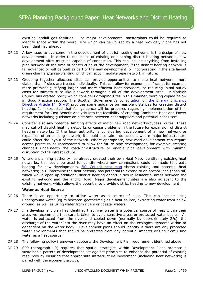existing landfill gas facilities. For major developments, masterplans could be required to identify space within the overall site which can be utilised by a heat provider, if one has not been identified already.

- DP.22 A key issue to overcome in the development of district heating networks is the design of new developments. In order to make use of existing or planning district heating networks, new development sites must be capable of connection. This can include anything from installing pipe network at the time of construction of the development, if the district heating network is far advanced or will be built as part of the new development, or incorporating in the site layout green channels/grass/planting which can accommodate pipe network in future.
- DP.23 Grouping together allocated sites can provide opportunities to make heat networks more viable, than if sites are treated individually. This can allow for economies of scale, for example more premises justifying larger and more efficient heat providers, or reducing initial outlay costs for infrastructure like pipework throughout all of the development sites. Midlothian Council has drafted policy which considers grouping sites in this manner, wording copied below in Good Practice section. The Scottish Government's consultation on the Energy Efficiency [Directive Article 14 \(5\)-\(8\)](http://www.scotland.gov.uk/Publications/2014/01/4430) provides some quidance on feasible distances for creating district heating. It is expected that full guidance will be prepared regarding implementation of this requirement for Cost Benefit Analysis into the feasibility of creating Combined Heat and Power networks including guidance on distances between heat suppliers and potential heat users.
- DP.24 Consider also any potential limiting effects of major new road networks/bypass routes. These may cut off district heating networks or cause problems in the future for expansion of district heating networks. If the local authority is considering development of a new network or expansion of an existing network, it should also take into account where major infrastructure could affect the layout of the network. Where appropriate, new road development can require access points to be incorporated to allow for future pipe development, for example creating channels underneath the road/infrastructure to enable pipe development with minimal disruption to the infrastructure.
- DP.25 Where a planning authority has already created their own Heat Map, identifying existing heat networks, this could be used to identify where new connections could be made to create heating for new developments. [Fife Council heat map](http://www.fifedirect.org.uk/minisites/index.cfm?fuseaction=page.display&pageid=BC7246A0-C395-5502-EBAD04AAE7A0547C&siteID=430EB347-005B-8681-1629D8206303D4C8) shows existing and potential heat networks; in Dunfermline the heat network has potential to extend to an anchor load (hospital) which would open up additional district heating opportunities in residential areas between the existing network and the anchor load. Major development sites are also adjacent to the existing network, which allows the potential to provide district heating to new development.

#### **Water as Heat Source**

- DP.26 There is an opportunity to utilise water as a source of heat. This can include using underground water (eg minewater, geothermal) as a heat source, extracting water from below ground, as well as using water from rivers or coastal waters.
- DP.27 If a development plan has identified that river water is a potential source of heat within their area, we recommend that care is taken to avoid sensitive areas or protected water bodies. As water is extracted from the river and cooled down (normally by approximately 2°c), the discharge of the water into the river may have an effect on the ecological systems within or dependent on the water body. Development plans should identify if there are any protected water environments that should be protected from any potential impacts arising from using water as a heat source.
- DP.28 The following policy framework supports the Development Plan requirement identified above:
- DP.29 SPP (paragraph 40) requires that spatial strategies within Development Plans promote a sustainable pattern of development set against principles to enhance the potential of existing resources by ensuring that appropriate infrastructure investment (including heat networks) is paired with development growth.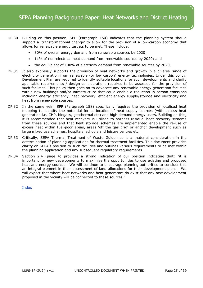- DP.30 Building on this position, SPP (Paragraph 154) indicates that the planning system should support a 'transformational change' to allow for the provision of a low-carbon economy that allows for renewable energy targets to be met. These include:
	- 30% of overall energy demand from renewable sources by 2020;
	- 11% of non-electrical heat demand from renewable sources by 2020; and
	- the equivalent of 100% of electricity demand from renewable sources by 2020.
- DP.31 It also expressly supports the provision of heat networks and growth in a diverse range of electricity generation from renewable (or low carbon) energy technologies. Under this policy, Development Plan are required to identify suitable locations for such developments and clarify applicable requirements / design considerations required to be assessed for the provision of such facilities. This policy then goes on to advocate any renewable energy generation facilities within new buildings and/or infrastructure that could enable a reduction in carbon emissions including energy efficiency, heat recovery, efficient energy supply/storage and electricity and heat from renewable sources.
- DP.32 In the same vein, SPP (Paragraph 158) specifically requires the provision of localised heat mapping to identify the potential for co-location of heat supply sources (with excess heat generation i.e. CHP, biogass, geothermal etc) and high demand energy users. Building on this, it is recommended that heat recovery is utilised to harness residual heat recovery systems from these sources and that heat storage schemes are implemented enable the re-use of excess heat within fuel-poor areas, areas 'off the gas grid' or anchor development such as large mixed use schemes, hospitals, schools and leisure centres etc.
- DP.33 Critically, SEPA Thermal Treatment of Waste Guidelines is a material consideration in the determination of planning applications for thermal treatment facilities. This document provides clarity on SEPA's position to such facilities and outlines various requirements to be met within the planning application and any subsequent regulatory requirements.
- DP.34 Section 2.4 (page 4) provides a strong indication of our position indicating that: "it is important for new developments to maximise the opportunities to use existing and proposed heat and energy sources. We will continue to encourage planning authorities to consider this an integral element in their assessment of land allocations for their development plans. We will expect that where heat networks and heat generators do exist that any new development proposed in the vicinity will be connected to these sources."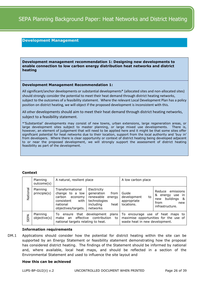# **Development Management**

<span id="page-25-0"></span>**Development management recommendation 1: Designing new developments to enable connection to low carbon energy distribution heat networks and district heating**

#### **Development Management Recommendation 1:**

All significant/anchor developments or substantial developments\* (allocated sites and non-allocated sites) should strongly consider the potential to meet their heat demand through district heating networks, subject to the outcomes of a feasibility statement. Where the relevant Local Development Plan has a policy position on district heating, we will object if the proposed development is inconsistent with this.

All other developments should aim to meet their heat demand through district heating networks, subject to a feasibility statement.

\*'Substantial' developments may consist of new towns, urban extensions, large regeneration areas, or large development sites subject to master planning, or large mixed use developments. There is, however, an element of judgement that will need to be applied here and it might be that some sites offer significant potential for heat networks due to their location, support from the local authority and 'buy in' from developers. Where there is clear opportunity or context of district heating being developed adjacent to or near the proposed development, we will strongly support the assessment of district heating feasibility as part of the development.

#### **Context**

|          | Planning<br>outcome(s)   | A natural, resilient place                                                                                          |                                                                                                           | A low carbon place                                                                                          |                                                                                                   |
|----------|--------------------------|---------------------------------------------------------------------------------------------------------------------|-----------------------------------------------------------------------------------------------------------|-------------------------------------------------------------------------------------------------------------|---------------------------------------------------------------------------------------------------|
| National | Planning<br>principle(s) | Transformational<br>change to a low<br>carbon<br>economy<br>consistent<br>with l<br>national<br>objectives/targets. | Electricity<br>generation<br>from<br>renewable<br>energy<br>technologies<br>including<br>heat<br>networks | Guide<br>development<br>to<br>appropriate<br>locations.                                                     | emissions<br>Reduce<br>& energy<br>use in<br>buildings &<br>new<br>from<br>new<br>infrastructure. |
| SEPA     | Planning<br>objective(s) | To<br>effective<br>make<br>an<br>national targets relating to heat.                                                 | ensure that development plans<br>contribution<br>to                                                       | To encourage use of heat maps to<br>maximise opportunities for the use of<br>waste heat in new development. |                                                                                                   |

#### **Information requirements**

DM.1 Applications should consider how the potential for district heating within the site can be supported by an Energy Statement or feasibility statement demonstrating how the proposal has considered district heating. The findings of the Statement should be informed by national and, where available, local heat maps, and should be reflected in a section of the Environmental Statement and used to influence the site layout and

#### **How this can be achieved**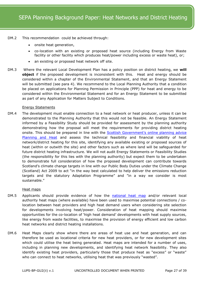- DM.2 This recommendation could be achieved through:
	- onsite heat generation,
	- co-location with an existing or proposed heat source (including Energy from Waste facility or other facility which produces heat/power including excess or waste heat), or;
	- an existing or proposed heat network off site.
- DM.3 Where the relevant Local Development Plan has a policy position on district heating, we **will object** if the proposed development is inconsistent with this. Heat and energy should be considered within a chapter of the Environmental Statement, and that an Energy Statement will be submitted (see para 4). We recommend to the Local Planning Authority that a condition be placed on applications for Planning Permission in Principle (PPP) for heat and energy to be considered within the Environmental Statement and for an Energy Statement to be submitted as part of any Application for Matters Subject to Conditions.

# Energy Statements

DM.4 The development must enable connection to a heat network or heat producer, unless it can be demonstrated to the Planning Authority that this would not be feasible. An Energy Statement informed by a Feasibility Study should be provided for assessment by the planning authority demonstrating how the proposal will meet the requirements for providing district heating onsite. This should be prepared in line with the **[Scottish Government's online planning](http://www.gov.scot/Resource/0048/00488003.pdf) advice** [Planning and Heat](http://www.gov.scot/Resource/0048/00488003.pdf) and assess the technical feasibility and financial viability of heat network/district heating for this site, identifying any available existing or proposed sources of heat (within or outwith the site) and other factors such as where land will be safeguarded for future district heating infrastructure. We will not audit Energy Statements or Feasibility Studies (the responsibility for this lies with the planning authority) but expect them to be undertaken to demonstrate full consideration of how the proposed development can contribute towards Scotland's climate change targets in line with our Public Body Duties under the Climate Change (Scotland) Act 2009 to act "in the way best calculated to help deliver the emissions reduction targets and the statutory Adaptation Programme" and "in a way we consider is most sustainable."

# Heat maps

- DM.5 Applicants should provide evidence of how the [national heat map](http://www.scotland.gov.uk/Topics/Business-Industry/Energy/Energy-sources/19185/Heat/HeatMap) and/or relevant local authority heat maps (where available) have been used to maximise potential connections / colocation between heat providers and high heat demand users when considering site selection for developments involving heat/power. Consideration of heat mapping should maximise opportunities for the co-location of 'high heat demand' developments with heat supply sources, like energy from waste facilities, to maximise the provision of energy efficient and low carbon heat networks and district heating installations.
- DM.6 Heat Maps clearly show where there are areas of heat use and heat generation, and can therefore be used as locational criteria for new heat providers, or for new development sites which could utilise the heat being generated. Heat maps are intended for a number of uses, including in planning new developments, and identifying heat network feasibility. They also identify existing heat providers, particularly those that produce heat as "excess" or "waste" who can connect to heat networks, utilising heat that was previously "wasted".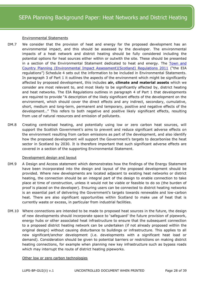# Environmental Statements

- DM.7 We consider that the provision of heat and energy for the proposed development has an environmental impact, and this should be assessed by the developer. The environmental impacts of a heat network and district heating should be fully considered including the potential options for heat sources either within or outwith the site. These should be presented in a section of the Environmental Statement dedicated to heat and energy. The [Town and](http://www.legislation.gov.uk/ssi/2011/139/pdfs/ssi_20110139_en.pdf)  [Country Planning \(Environmental Impact Assessment\)\(Scotland\) Regulations 2011](http://www.legislation.gov.uk/ssi/2011/139/pdfs/ssi_20110139_en.pdf) ("the EIA regulations") Schedule 4 sets out the information to be included in Environmental Statements. In paragraph 3 of Part 1 it outlines the aspects of the environment which might be significantly affected by proposed development, this includes **air, climate and material assets** which we consider are most relevant to, and most likely to be significantly affected by, district heating and heat networks. The EIA Regulations outlines in paragraph 4 of Part 1 that developments are required to provide "A description of the likely significant effects of the development on the environment, which should cover the direct effects and any indirect, secondary, cumulative, short, medium and long-term, permanent and temporary, positive and negative effects of the development…" This refers to both negative and positive likely significant effects, resulting from use of natural resources and emission of pollutants.
- DM.8 Creating centralised heating, and potentially using low or zero carbon heat sources, will support the Scottish Government's aims to prevent and reduce significant adverse effects on the environment resulting from carbon emissions as part of the development, and also identify how the proposed development will support the Government's targets to decarbonise the heat sector in Scotland by 2030. It is therefore important that such significant adverse effects are covered in a section of the supporting Environmental Statement.

# Development design and layout

- DM.9 A Design and Access statement which demonstrates how the findings of the Energy Statement have been incorporated into the design and layout of the proposed development should be provided. Where new developments are located adjacent to existing heat networks or district heating, the connection should be an integral part of the design to enable connection to take place at time of construction, unless it would not be viable or feasible to do so (the burden of proof is placed on the developer). Ensuring users can be connected to district heating networks is an essential part of delivering the Government's targets towards renewable and low-carbon heat. There are also significant opportunities within Scotland to make use of heat that is currently waste or excess, in particular from industrial facilities.
- DM.10 Where connections are intended to be made to proposed heat sources in the future, the design of new developments should incorporate space to 'safeguard' the future provision of pipework, energy hubs or other associated heat infrastructure to ensure that the subsequent connection to a proposed district heating network can be undertaken (if not already proposed within the original design) without causing disturbance to buildings or infrastructure. This applies to all new significant/anchor development (i.e. developments with a significant heat load or demand). Consideration should be given to potential barriers or restrictions on making district heating connections, for example when planning new key infrastructure such as bypass roads which may interrupt the route of district heating pipeworks.

Other low or zero carbon technologies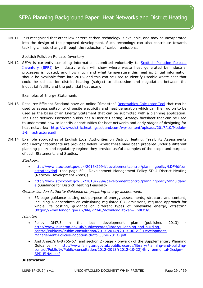DM.11 It is recognised that other low or zero carbon technology is available, and may be incorporated into the design of the proposed development. Such technology can also contribute towards tackling climate change through the reduction of carbon emissions.

# Scottish Pollution Release Inventory

DM.12 SEPA is currently compiling information submitted voluntarily to **Scottish Pollution Release** [Inventory \(SPRI\)](http://www.sepa.org.uk/environment/environmental-data/spri/) by industry which will show where waste heat generated by industrial processes is located, and how much and what temperature this heat is. Initial information should be available from late 2016, and this can be used to identify useable waste heat that could be utilised for district heating (subject to discussion and negotiation between the industrial facility and the potential heat user).

# Examples of Energy Statements

- DM.13 Resource Efficient Scotland have an online "first step" Renewables [Calculator Tool](http://renewables.resourceefficientscotland.com/favicon.ico) that can be used to assess suitability of onsite electricity and heat generation which can then go on to be used as the basis of an Energy Statement that can be submitted with a planning application. The Heat Network Partnership also has a District Heating Strategy factsheet that can be used to understand how to identify opportunities for heat networks and early stages of designing for heat networks: [http://www.districtheatingscotland.com/wp-content/uploads/2017/10/Module-](http://www.districtheatingscotland.com/wp-content/uploads/2017/10/Module-5-Infrastructure.pdf)[5-Infrastructure.pdf](http://www.districtheatingscotland.com/wp-content/uploads/2017/10/Module-5-Infrastructure.pdf)
- DM.14 Example approaches of English Local Authorities on District Heating, Feasibility Assessments and Energy Statements are provided below. Whilst these have been prepared under a different planning policy and regulatory regime they provide useful examples of the scope and purpose of such Statements and Studies.

#### *Stockport*

- [http://www.stockport.gov.uk/2013/2994/developmentcontrol/planningpolicy/LDF/ldfcor](http://www.stockport.gov.uk/2013/2994/developmentcontrol/planningpolicy/LDF/ldfcorestrategydpd) [estrategydpd](http://www.stockport.gov.uk/2013/2994/developmentcontrol/planningpolicy/LDF/ldfcorestrategydpd) (see page 50 - Development Management Policy SD-4 District Heating (Network Development Areas))
- [http://www.stockport.gov.uk/2013/2994/developmentcontrol/planningpolicy/dhguidanc](http://www.stockport.gov.uk/2013/2994/developmentcontrol/planningpolicy/dhguidance) [e](http://www.stockport.gov.uk/2013/2994/developmentcontrol/planningpolicy/dhguidance) (Guidance for District Heating Feasibility)

#### *Greater London Authority Guidance on preparing energy assessments*

 33 page guidance setting out purpose of energy assessments, structure and content, including 4 appendices on calculating regulated  $CO<sub>2</sub>$  emissions, required approach for whole life costing, guidance on different types of renewable energy, offsetting [\(https://www.london.gov.uk/file/22340/download?token=En8l3jJy\)](https://www.london.gov.uk/file/22340/download?token=En8l3jJy)

# *Islington*

- Policy DM7.3 in the local development plan (published 2013) [http://www.islington.gov.uk/publicrecords/library/Planning-and-building](http://www.islington.gov.uk/publicrecords/library/Planning-and-building-control/Publicity/Public-consultation/2013-2014/(2013-06-21)-Development-Management-Policies-adoption-draft-(June-2013).pdf)[control/Publicity/Public-consultation/2013-2014/\(2013-06-21\)-Development-](http://www.islington.gov.uk/publicrecords/library/Planning-and-building-control/Publicity/Public-consultation/2013-2014/(2013-06-21)-Development-Management-Policies-adoption-draft-(June-2013).pdf)[Management-Policies-adoption-draft-\(June-2013\).pdf](http://www.islington.gov.uk/publicrecords/library/Planning-and-building-control/Publicity/Public-consultation/2013-2014/(2013-06-21)-Development-Management-Policies-adoption-draft-(June-2013).pdf)
- And Annex's 6-8 (55-67) and section 2 (page 7 onward) of the Supplementary Planning Guidance - [http://www.islington.gov.uk/publicrecords/library/Planning-and-building](http://www.islington.gov.uk/publicrecords/library/Planning-and-building-control/Publicity/Public-consultation/2012-2013/(2012-10-22)-Environmental-Design-SPD-FINAL.pdf)[control/Publicity/Public-consultation/2012-2013/\(2012-10-22\)-Environmental-Design-](http://www.islington.gov.uk/publicrecords/library/Planning-and-building-control/Publicity/Public-consultation/2012-2013/(2012-10-22)-Environmental-Design-SPD-FINAL.pdf)[SPD-FINAL.pdf](http://www.islington.gov.uk/publicrecords/library/Planning-and-building-control/Publicity/Public-consultation/2012-2013/(2012-10-22)-Environmental-Design-SPD-FINAL.pdf)

# **Justification**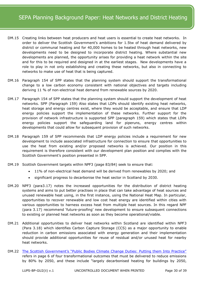- DM.15 Creating links between heat producers and heat users is essential to create heat networks. In order to deliver the Scottish Government's ambitions for 1.5tw of heat demand delivered by district or communal heating and for 40,000 homes to be heated through heat networks, new developments need to be designed to incorporate district heating. Where substantial new developments are planned, the opportunity arises for providing a heat network within the site and for this to be required and designed in at the earliest stages. New developments have a role to play in not only establishing and creating these networks, but also in connecting to networks to make use of heat that is being captured.
- DM.16 Paragraph 154 of SPP states that the planning system should support the transformational change to a low carbon economy consistent with national objectives and targets including deriving 11 % of non-electrical heat demand from renewable sources by 2020.
- DM.17 Paragraph 154 of SPP states that the planning system should support the development of heat networks. SPP (Paragraph 159) Also states that LDPs should identify existing heat networks, heat storage and energy centres exist, where they would be acceptable, and ensure that LDP energy policies support the implementation of these networks. Further support for the provision of network infrastructure is supported SPP (paragraph 159) which states that LDPs energy policies support the safeguarding land for piperuns, energy centres within developments that could allow for subsequent provision of such networks.
- DM.18 Paragraph 159 of SPP recommends that LDP energy policies include a requirement for new development to include associated infrastructure for connection to ensure that opportunities to use the heat from existing and/or proposed networks is achieved. Our position in this requirement is therefore consistent with our development plan position and complies with the Scottish Government's position presented in SPP.
- DM.19 Scottish Government targets within NPF3 (page 83/84) seek to ensure that:
	- 11% of non-electrical heat demand will be derived from renewables by 2020; and
	- significant progress to decarbonise the heat sector in Scotland by 2030.
- DM.20 NPF3 (para3.17) notes the increased opportunities for the distribution of district heating systems and aims to put better practises in place that can take advantage of heat sources and unused renewable heat using, in the first instance, using the National Heat Map. In particular, opportunities to recover renewable and low cost heat energy are identified within cities with various opportunities to harness excess heat from multiple heat sources. In this regard NPF (para 3.17) recommend 'future-proofing' new development to ensure subsequent connections to existing or planned heat networks as soon as they become operational/viable.
- DM.21 Additional opportunities to deliver heat networks within Scotland are identified within NPF3 (Para 3.18) which identifies Carbon Capture Storage (CCS) as a major opportunity to enable reduction in carbon emissions associated with energy generation and their implementation should provide additional opportunities for reuse of residual and/or unused heat for nearby heat networks.
- DM.22 [The Scottish Government's "Public Bodies Climate Change Duties: Putting them Into Practice"](http://www.gov.scot/Resource/Doc/340746/0113071.pdf) refers in page 6 of four transformational outcomes that must be delivered to reduce emissions by 80% by 2050, and these include "largely decarbonised heating for buildings by 2050,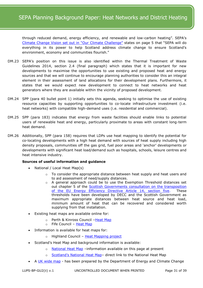through reduced demand, energy efficiency, and renewable and low-carbon heating". SEPA's [Climate Change Vision set out in](http://www.sepa.org.uk/media/40789/our_climate_challenge-2014_2015.pdf) "Our Climate Challenge" states on page 5 that "SEPA will do everything in its power to help Scotland address climate change to ensure Scotland's environment, economy and communities flourish."

- DM.23 SEPA's position on this issue is also identified within the Thermal Treatment of Waste Guidelines 2014, section 2.4 (final paragraph) which states that it is important for new developments to maximise the opportunities to use existing and proposed heat and energy sources and that we will continue to encourage planning authorities to consider this an integral element in their assessment of land allocations for their development plans. Furthermore, it states that we would expect new development to connect to heat networks and heat generators where they are available within the vicinity of proposed development.
- DM.24 SPP (para 40 bullet point 1) initially sets this agenda, seeking to optimise the use of existing resource capacities by supporting opportunities to co-locate infrastructure investment (i.e. heat networks) with compatible high-demand uses (i.e. residential and commercial).
- DM.25 SPP (para 183) indicates that energy from waste facilities should enable links to potential users of renewable heat and energy, particularly proximate to areas with constant long-term heat demand.
- DM.26 Additionally, SPP (para 158) requires that LDPs use heat mapping to identify the potential for co-locating developments with a high heat demand with sources of heat supply including high density proposals, communities off the gas grid, fuel poor areas and 'anchor' developments or developments with significant heat load/demand such as hospitals, schools, leisure centres and heat intensive industry.

# **Sources of useful information and guidance**

- National / Local Heat Map(s)
	- $\circ$  To consider the appropriate distance between heat supply and heat users and to aid assessment of need/supply distances.
	- $\circ$  A general approach could be to use the Exemption Threshold distances set out chapter 5 of the **Scottish Governments consultation on the transposition** [of the EU Energy Efficiency Directive Article 14, section five.](http://www.scotland.gov.uk/Resource/0044/00442205.pdf) These thresholds have been developed by DECC and the Scottish Government as maximum appropriate distances between heat source and heat load, minimum amount of heat that can be recovered and considered worth supplying from that installation.
- Existing heat maps are available online for:
	- o Perth & Kinross Council –[Heat Map](http://www.pkc.gov.uk/heatmap)
	- o Fife Council [Heat Map](http://www.pkc.gov.uk/heatmap)
- Information is available for heat maps for:
	- o Highland Council [Heat Mapping project](http://www.highland.gov.uk/yourenvironment/planning/energyplanning/renewbleenergy/HighlandHeatMappingProject)
- Scotland's Heat Map and background information is available:
	- o [National Heat Map](http://www.scotland.gov.uk/Topics/Business-Industry/Energy/Energy-sources/19185/Heat/HeatMap) -information available on this page at present
	- o Scotland's National Heat Map- direct link to the National Heat Map
- A [UK wide map](http://chp.decc.gov.uk/developmentmap) has been prepared by the Department of Energy and Climate Change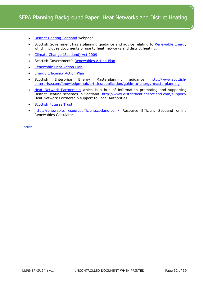- [District Heating Scotland](http://www.districtheatingscotland.com/) webpage
- Scottish Government has a planning guidance and advice relating to [Renewable Energy](http://www.scotland.gov.uk/Topics/Built-Environment/planning/National-Planning-Policy/themes/renewables) which includes documents of use to heat networks and district heating.
- [Climate Change \(Scotland\) Act 2009](http://www.scotland.gov.uk/Topics/Environment/climatechange)
- Scottish Government's [Renewables Action Plan](http://www.scotland.gov.uk/Publications/2009/07/06095830/0)
- [Renewable Heat Action Plan](http://www.scotland.gov.uk/Publications/2009/11/04154534/0)
- [Energy Efficiency Action Plan](http://www.scotland.gov.uk/Topics/Business-Industry/Energy/Action/energy-efficiency-policy/ActionPlan)
- Scottish Enterprise Energy Masterplanning guidance [http://www.scottish](http://www.scottish-enterprise.com/knowledge-hub/articles/publication/guide-to-energy-masterplanning)[enterprise.com/knowledge-hub/articles/publication/guide-to-energy-masterplanning](http://www.scottish-enterprise.com/knowledge-hub/articles/publication/guide-to-energy-masterplanning)
- [Heat Network Partnership](http://www.districtheatingscotland.com/content/district-heating-scotland) which is a hub of information promoting and supporting District Heating schemes in Scotland. http://www.districtheatingscotland.com/support/ Heat Network Partnership support to Local Authorities
- [Scottish Futures Trust](http://www.scottishfuturestrust.org.uk/)
- <http://renewables.resourceefficientscotland.com/> Resource Efficient Scotland online Renewables Calculator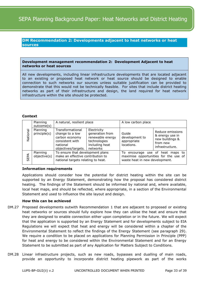# <span id="page-32-0"></span>**DM Recommendation 2: Developments adjacent to heat networks or heat sources**

#### **Development management recommendation 2: Development Adjacent to heat networks or heat sources**

All new developments, including linear infrastructure developments that are located adjacent to an existing or proposed heat network or heat source should be designed to enable connection to such networks our sources unless suitable justification can be provided to demonstrate that this would not be technically feasible. For sites that include district heating networks as part of their infrastructure and design, the land required for heat network infrastructure within the site should be protected.

# **Context**

|          | Planning<br>outcome(s)   | A natural, resilient place                                                                                  |                                                                                                  | A low carbon place                                   |                                                                                       |
|----------|--------------------------|-------------------------------------------------------------------------------------------------------------|--------------------------------------------------------------------------------------------------|------------------------------------------------------|---------------------------------------------------------------------------------------|
| National | Planning<br>principle(s) | Transformational<br>change to a low<br>carbon economy<br>consistent with<br>national<br>objectives/targets. | Electricity<br>generation from<br>renewable energy<br>technologies<br>including heat<br>networks | Guide<br>development to<br>appropriate<br>locations. | Reduce emissions<br>& energy use in<br>new buildings &<br>from new<br>infrastructure. |
| SEPA     | Planning<br>objective(s) | To ensure that development plans<br>make an effective contribution to<br>national targets relating to heat. |                                                                                                  | To.<br>waste heat in new development.                | encourage use of heat maps to<br>maximise opportunities for the use of                |

# **Information requirements**

Applications should consider how the potential for district heating within the site can be supported by an Energy Statement, demonstrating how the proposal has considered district heating. The findings of the Statement should be informed by national and, where available, local heat maps, and should be reflected, where appropriate, in a section of the Environmental Statement and used to influence the site layout and design.

# **How this can be achieved**

- DM.27 Proposed developments outwith Recommendation 1 that are adjacent to proposed or existing heat networks or sources should fully explore how they can utilise the heat and ensure that they are designed to enable connection either upon completion or in the future. We will expect that the application is supported by an Energy Statement and for developments subject to EIA Regulations we will expect that heat and energy will be considered within a chapter of the Environmental Statement to reflect the findings of the Energy Statement (see paragraph 29). We require a condition to be placed on applications for Planning Permission in Principle (PPP) for heat and energy to be considered within the Environmental Statement and for an Energy Statement to be submitted as part of any Application for Matters Subject to Conditions.
- DM.28 Linear infrastructure projects, such as new roads, bypasses and dualling of main roads, provide an opportunity to incorporate district heating pipework as part of the works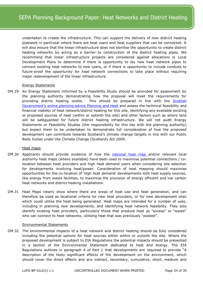undertaken to create the infrastructure. This can support the delivery of new district heating pipework in particular where there are heat users and heat suppliers that can be connected. It will also ensure that the linear infrastructure does not sterilise the opportunity to create district heating networks by acting as a barrier to construction of the district heating pipes. We recommend that linear infrastructure projects are considered against allocations in Local Development Plans to determine if there is opportunity to lay new heat network pipes to connect existing heat networks to new users, or if there is opportunity to include conduits to future-proof the opportunity for heat network connections to take place without requiring major redevelopment of the linear infrastructure.

# Energy Statements

DM.29 An Energy Statement informed by a Feasibility Study should be provided for assessment by the planning authority demonstrating how the proposal will meet the requirements for providing district heating onsite. This should be prepared in line with the **Scottish** [Government's online planning advice Planning and Heat](http://www.gov.scot/Resource/0048/00488003.pdf) and assess the technical feasibility and financial viability of heat network/district heating for this site, identifying any available existing or proposed sources of heat (within or outwith the site) and other factors such as where land will be safeguarded for future district heating infrastructure. We will not audit Energy Statements or Feasibility Studies (the responsibility for this lies with the planning authority) but expect them to be undertaken to demonstrate full consideration of how the proposed development can contribute towards Scotland's climate change targets in line with our Public Body Duties under the Climate Change (Scotland) Act 2009.

# Heat maps

- DM.30 Applicants should provide evidence of how the [national heat map](http://www.scotland.gov.uk/Topics/Business-Industry/Energy/Energy-sources/19185/Heat/HeatMap) and/or relevant local authority heat maps (where available) have been used to maximise potential connections / colocation between heat providers and high heat demand users when considering site selection for developments involving heat/power. Consideration of heat mapping should maximise opportunities for the co-location of 'high heat demand' developments with heat supply sources, like energy from waste facilities, to maximise the provision of energy efficient and low carbon heat networks and district heating installations.
- DM.31 Heat Maps clearly show where there are areas of heat use and heat generation, and can therefore be used as locational criteria for new heat providers, or for new development sites which could utilise the heat being generated. Heat maps are intended for a number of uses, including in planning new developments, and identifying heat network feasibility. They also identify existing heat providers, particularly those that produce heat as "excess" or "waste" who can connect to heat networks, utilising heat that was previously "wasted".

# Environmental Statements

DM.32 The environmental impacts of a heat network and district heating should be fully considered including the potential options for heat sources either within or outwith the site. Where the proposed development is subject to EIA Regulations the potential impacts should be presented in a section of the Environmental Statement dedicated to heat and energy. The EIA Regulations outlines in paragraph 4 of Part 1 that developments are required to provide "A description of the likely significant effects of the development on the environment, which should cover the direct effects and any indirect, secondary, cumulative, short, medium and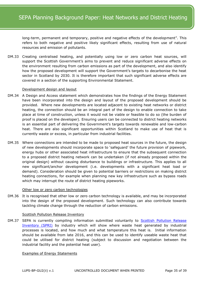long-term, permanent and temporary, positive and negative effects of the development". This refers to both negative and positive likely significant effects, resulting from use of natural resources and emission of pollutants.

DM.33 Creating centralised heating, and potentially using low or zero carbon heat sources, will support the Scottish Government's aims to prevent and reduce significant adverse effects on the environment resulting from carbon emissions as part of the development, and also identify how the proposed development will support the Government's targets to decarbonise the heat sector in Scotland by 2030. It is therefore important that such significant adverse effects are covered in a section of the supporting Environmental Statement.

#### Development design and layout

- DM.34 A Design and Access statement which demonstrates how the findings of the Energy Statement have been incorporated into the design and layout of the proposed development should be provided. Where new developments are located adjacent to existing heat networks or district heating, the connection should be an integral part of the design to enable connection to take place at time of construction, unless it would not be viable or feasible to do so (the burden of proof is placed on the developer). Ensuring users can be connected to district heating networks is an essential part of delivering the Government's targets towards renewable and low-carbon heat. There are also significant opportunities within Scotland to make use of heat that is currently waste or excess, in particular from industrial facilities.
- DM.35 Where connections are intended to be made to proposed heat sources in the future, the design of new developments should incorporate space to 'safeguard' the future provision of pipework, energy hubs or other associated heat infrastructure to ensure that the subsequent connection to a proposed district heating network can be undertaken (if not already proposed within the original design) without causing disturbance to buildings or infrastructure. This applies to all new significant/anchor development (i.e. developments with a significant heat load or demand). Consideration should be given to potential barriers or restrictions on making district heating connections, for example when planning new key infrastructure such as bypass roads which may interrupt the route of district heating pipeworks.

#### Other low or zero carbon technologies

DM.36 It is recognised that other low or zero carbon technology is available, and may be incorporated into the design of the proposed development. Such technology can also contribute towards tackling climate change through the reduction of carbon emissions.

#### Scottish Pollution Release Inventory

DM.37 SEPA is currently compiling information submitted voluntarily to Scottish Pollution Release [Inventory \(SPRI\)](http://www.sepa.org.uk/environment/environmental-data/spri/) by industry which will show where waste heat generated by industrial processes is located, and how much and what temperature this heat is. Initial information should be available from late 2016, and this can be used to identify useable waste heat that could be utilised for district heating (subject to discussion and negotiation between the industrial facility and the potential heat user).

#### Examples of Energy Statements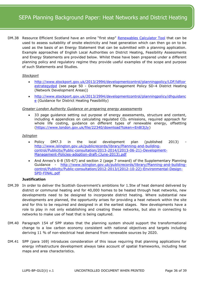DM.38 Resource Efficient Scotland have an online "first step" [Renewables Calculator Tool](http://renewables.resourceefficientscotland.com/) that can be used to assess suitability of onsite electricity and heat generation which can then go on to be used as the basis of an Energy Statement that can be submitted with a planning application. Example approaches of English Local Authorities on District Heating, Feasibility Assessments and Energy Statements are provided below. Whilst these have been prepared under a different planning policy and regulatory regime they provide useful examples of the scope and purpose of such Statements and Studies.

# *Stockport*

- [http://www.stockport.gov.uk/2013/2994/developmentcontrol/planningpolicy/LDF/ldfcor](http://www.stockport.gov.uk/2013/2994/developmentcontrol/planningpolicy/LDF/ldfcorestrategydpd) [estrategydpd](http://www.stockport.gov.uk/2013/2994/developmentcontrol/planningpolicy/LDF/ldfcorestrategydpd) (see page 50 - Development Management Policy SD-4 District Heating (Network Development Areas))
- [http://www.stockport.gov.uk/2013/2994/developmentcontrol/planningpolicy/dhguidanc](http://www.stockport.gov.uk/2013/2994/developmentcontrol/planningpolicy/dhguidance) [e](http://www.stockport.gov.uk/2013/2994/developmentcontrol/planningpolicy/dhguidance) (Guidance for District Heating Feasibility)

#### *Greater London Authority Guidance on preparing energy assessments*

 33 page guidance setting out purpose of energy assessments, structure and content, including 4 appendices on calculating regulated  $CO<sub>2</sub>$  emissions, required approach for whole life costing, guidance on different types of renewable energy, offsetting [\(https://www.london.gov.uk/file/22340/download?token=En8l3jJy\)](https://www.london.gov.uk/file/22340/download?token=En8l3jJy)

# *Islington*

- Policy DM7.3 in the local development plan (published 2013) [http://www.islington.gov.uk/publicrecords/library/Planning-and-building](http://www.islington.gov.uk/publicrecords/library/Planning-and-building-control/Publicity/Public-consultation/2013-2014/(2013-06-21)-Development-Management-Policies-adoption-draft-(June-2013).pdf)[control/Publicity/Public-consultation/2013-2014/\(2013-06-21\)-Development-](http://www.islington.gov.uk/publicrecords/library/Planning-and-building-control/Publicity/Public-consultation/2013-2014/(2013-06-21)-Development-Management-Policies-adoption-draft-(June-2013).pdf)[Management-Policies-adoption-draft-\(June-2013\).pdf](http://www.islington.gov.uk/publicrecords/library/Planning-and-building-control/Publicity/Public-consultation/2013-2014/(2013-06-21)-Development-Management-Policies-adoption-draft-(June-2013).pdf)
- And Annex's 6-8 (55-67) and section 2 (page 7 onward) of the Supplementary Planning Guidance - [http://www.islington.gov.uk/publicrecords/library/Planning-and-building](http://www.islington.gov.uk/publicrecords/library/Planning-and-building-control/Publicity/Public-consultation/2012-2013/(2012-10-22)-Environmental-Design-SPD-FINAL.pdf)[control/Publicity/Public-consultation/2012-2013/\(2012-10-22\)-Environmental-Design-](http://www.islington.gov.uk/publicrecords/library/Planning-and-building-control/Publicity/Public-consultation/2012-2013/(2012-10-22)-Environmental-Design-SPD-FINAL.pdf)[SPD-FINAL.pdf](http://www.islington.gov.uk/publicrecords/library/Planning-and-building-control/Publicity/Public-consultation/2012-2013/(2012-10-22)-Environmental-Design-SPD-FINAL.pdf)

# **Justification**

- DM.39 In order to deliver the Scottish Government's ambitions for 1.5tw of heat demand delivered by district or communal heating and for 40,000 homes to be heated through heat networks, new developments need to be designed to incorporate district heating. Where substantial new developments are planned, the opportunity arises for providing a heat network within the site and for this to be required and designed in at the earliest stages. New developments have a role to play in not only establishing and creating these networks, but also in connecting to networks to make use of heat that is being captured.
- DM.40 Paragraph 154 of SPP states that the planning system should support the transformational change to a low carbon economy consistent with national objectives and targets including deriving 11 % of non-electrical heat demand from renewable sources by 2020.
- DM.41 SPP (para 169) introduces consideration of this issue requiring that planning applications for energy infrastructure development always take account of spatial frameworks, including heat maps and area characteristics.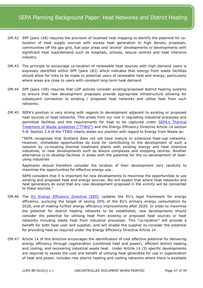- DM.42 SPP (para 158) requires the provision of localised heat mapping to identify the potential for colocation of heat supply sources with excess heat generation to high density proposals, communities off the gas grid, fuel poor areas and 'anchor' developments or developments with significant heat load/demand such as hospitals, schools, leisure centres and heat intensive industry.
- DM.43 The principle to encourage co-location of renewable heat sources with high demand users is expressly identified within SPP (para 183) which indicates that energy from waste facilities should allow for links to be made to potential users of renewable heat and energy, particularly where areas are close to users with constant long-term heat demand.
- DM.44 SPP (para 159) requires that LDP policies consider existing/proposed district heating systems to ensure that new development proposals provide appropriate infrastructure allowing for subsequent connection to existing / proposed heat networks and utilise heat from such networks.
- DM.45 SEPA's position is very strong with regards to development adjacent to existing or proposed heat sources or heat networks. This arises from our role in regulating industrial processes and permitted facilities and the requirements for heat to be captured under [SEPA's Thermal](http://www.sepa.org.uk/media/28983/thermal-treatment-of-waste-guidelines_2014.pdf)  [Treatment of Waste guidelines \("TTWG"\)](http://www.sepa.org.uk/media/28983/thermal-treatment-of-waste-guidelines_2014.pdf) and the Energy Efficiency Directive Article 14 section 5-8. Section 2.4 of the TTWG clearly states our position with regard to Energy from Waste as:

"SEPA recognises that Scotland does not yet have mature or extensive heat-use networks. However, immediate opportunities do exist for contributing to the development of such a network by co-locating thermal treatment plants with existing energy and heat intensive industries, or near developments such as leisure complexes and shopping centres. Another alternative is to develop facilities in areas with the potential for the co-development of heatusing industries

Applicants should therefore consider the location of their development very carefully to maximise the opportunities for effective energy use…

SEPA considers that it is important for new developments to maximise the opportunities to use existing and proposed heat and energy sources…We will expect that where heat networks and heat generators do exist that any new development proposed in the vicinity will be connected to these sources."

- DM.46 The [EU Energy Efficiency Directive \(EED\)](http://eur-lex.europa.eu/legal-content/EN/TXT/PDF/?uri=CELEX:32012L0027&from=EN) updates the EU's legal framework for energy efficiency, pursuing the target of saving 20% of the EU's primary energy consumption by 2020, and of making further energy efficiency improvements after 2020. In order to maximise the potential for district heating networks to be established, new developments should consider the potential for utilising heat from existing or proposed heat sources or heat networks including waste heat from industrial processes. This "co-location" will provide a benefit for both heat user and supplier, and will enable the supplier to consider the potential for providing heat as required under the Energy Efficiency Directive Article 14.
- DM.47 Article 14 of this directive encourages the identification of cost effective potential for delivering energy efficiency through cogeneration (combined heat and power), efficient district heating and cooling, and recovering industrial waste heat. Under Article 14 (5) specific developments are required to assess the cost and benefit of utilising heat generated for use in cogeneration of heat and power, includes new district heating and cooling networks where there is available